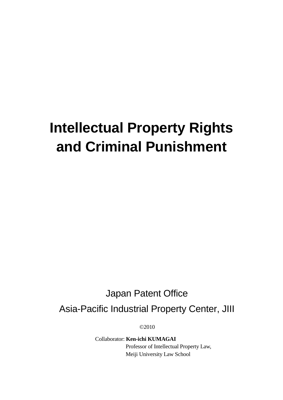# **Intellectual Property Rights and Criminal Punishment**

# Japan Patent Office

Asia-Pacific Industrial Property Center, JIII

©2010

Collaborator: **Ken-ichi KUMAGAI** Professor of Intellectual Property Law, Meiji University Law School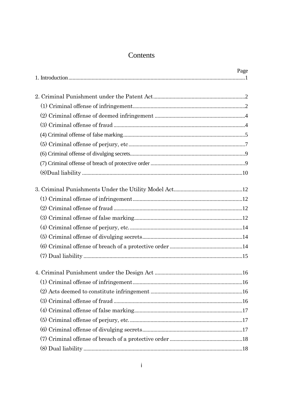# Contents

| Page |
|------|
|      |
|      |
|      |
|      |
|      |
|      |
|      |
|      |
|      |
|      |
|      |
|      |
|      |
|      |
|      |
|      |
|      |
|      |
|      |
|      |
|      |
|      |
|      |
|      |
|      |
|      |
|      |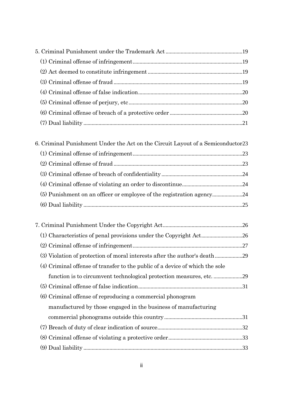| 6. Criminal Punishment Under the Act on the Circuit Layout of a Semiconductor 23 |  |
|----------------------------------------------------------------------------------|--|
|                                                                                  |  |
|                                                                                  |  |
|                                                                                  |  |
|                                                                                  |  |

| (3) Violation of protection of moral interests after the author's death      |  |
|------------------------------------------------------------------------------|--|
| (4) Criminal offense of transfer to the public of a device of which the sole |  |
|                                                                              |  |
|                                                                              |  |
| (6) Criminal offense of reproducing a commercial phonogram                   |  |
| manufactured by those engaged in the business of manufacturing               |  |
|                                                                              |  |
|                                                                              |  |
|                                                                              |  |
|                                                                              |  |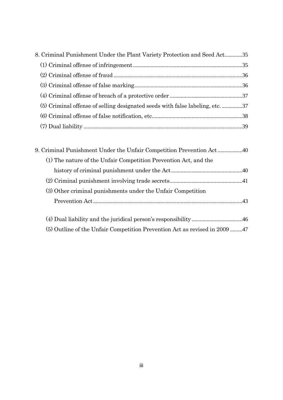| (5) Criminal offense of selling designated seeds with false labeling, etc. 37 | 8. Criminal Punishment Under the Plant Variety Protection and Seed Act35 |  |
|-------------------------------------------------------------------------------|--------------------------------------------------------------------------|--|
|                                                                               |                                                                          |  |
|                                                                               |                                                                          |  |
|                                                                               |                                                                          |  |
|                                                                               |                                                                          |  |
|                                                                               |                                                                          |  |
|                                                                               |                                                                          |  |
|                                                                               |                                                                          |  |

| 9. Criminal Punishment Under the Unfair Competition Prevention Act40 |  |
|----------------------------------------------------------------------|--|
| (1) The nature of the Unfair Competition Prevention Act, and the     |  |
|                                                                      |  |
|                                                                      |  |
| (3) Other criminal punishments under the Unfair Competition          |  |
|                                                                      |  |
|                                                                      |  |
|                                                                      |  |

(5) Outline of the Unfair Competition Prevention Act as revised in 2009 .........47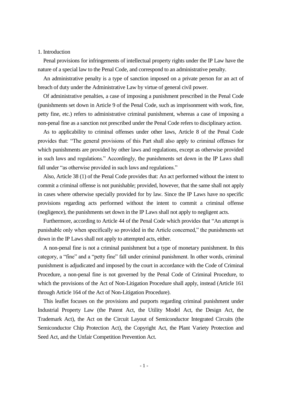## 1. Introduction

Penal provisions for infringements of intellectual property rights under the IP Law have the nature of a special law to the Penal Code, and correspond to an administrative penalty.

An administrative penalty is a type of sanction imposed on a private person for an act of breach of duty under the Administrative Law by virtue of general civil power.

Of administrative penalties, a case of imposing a punishment prescribed in the Penal Code (punishments set down in Article 9 of the Penal Code, such as imprisonment with work, fine, petty fine, etc.) refers to administrative criminal punishment, whereas a case of imposing a non-penal fine as a sanction not prescribed under the Penal Code refers to disciplinary action.

As to applicability to criminal offenses under other laws, Article 8 of the Penal Code provides that: "The general provisions of this Part shall also apply to criminal offenses for which punishments are provided by other laws and regulations, except as otherwise provided in such laws and regulations." Accordingly, the punishments set down in the IP Laws shall fall under "as otherwise provided in such laws and regulations."

Also, Article 38 (1) of the Penal Code provides that: An act performed without the intent to commit a criminal offense is not punishable; provided, however, that the same shall not apply in cases where otherwise specially provided for by law. Since the IP Laws have no specific provisions regarding acts performed without the intent to commit a criminal offense (negligence), the punishments set down in the IP Laws shall not apply to negligent acts.

Furthermore, according to Article 44 of the Penal Code which provides that "An attempt is punishable only when specifically so provided in the Article concerned," the punishments set down in the IP Laws shall not apply to attempted acts, either.

A non-penal fine is not a criminal punishment but a type of monetary punishment. In this category, a "fine" and a "petty fine" fall under criminal punishment. In other words, criminal punishment is adjudicated and imposed by the court in accordance with the Code of Criminal Procedure, a non-penal fine is not governed by the Penal Code of Criminal Procedure, to which the provisions of the Act of Non-Litigation Procedure shall apply, instead (Article 161 through Article 164 of the Act of Non-Litigation Procedure).

This leaflet focuses on the provisions and purports regarding criminal punishment under Industrial Property Law (the Patent Act, the Utility Model Act, the Design Act, the Trademark Act), the Act on the Circuit Layout of Semiconductor Integrated Circuits (the Semiconductor Chip Protection Act), the Copyright Act, the Plant Variety Protection and Seed Act, and the Unfair Competition Prevention Act.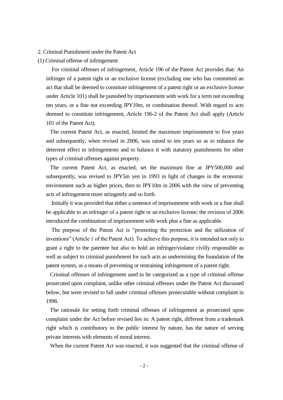#### 2. Criminal Punishment under the Patent Act

#### (1) Criminal offense of infringement

For criminal offenses of infringement, Article 196 of the Patent Act provides that: An infringer of a patent right or an exclusive license (excluding one who has committed an act that shall be deemed to constitute infringement of a patent right or an exclusive license under Article 101) shall be punished by imprisonment with work for a term not exceeding ten years, or a fine not exceeding JPY10m, or combination thereof. With regard to acts deemed to constitute infringement, Article 196-2 of the Patent Act shall apply (Article 101 of the Patent Act).

The current Patent Act, as enacted, limited the maximum imprisonment to five years and subsequently, when revised in 2006, was raised to ten years so as to enhance the deterrent effect to infringements and to balance it with statutory punishments for other types of criminal offenses against property.

The current Patent Act, as enacted, set the maximum fine at JPY500,000 and subsequently, was revised to JPY5m yen in 1993 in light of changes in the economic environment such as higher prices, then to JPY10m in 2006 with the view of preventing acts of infringement more stringently and so forth.

Initially it was provided that either a sentence of imprisonment with work or a fine shall be applicable to an infringer of a patent right or an exclusive license; the revision of 2006 introduced the combination of imprisonment with work plus a fine as applicable.

The purpose of the Patent Act is "promoting the protection and the utilization of inventions" (Article 1 of the Patent Act). To achieve this purpose, it is intended not only to grant a right to the patentee but also to hold an infringer/violator civilly responsible as well as subject to criminal punishment for such acts as undermining the foundation of the patent system, as a means of preventing or restraining infringement of a patent right.

Criminal offenses of infringement used to be categorized as a type of criminal offense prosecuted upon complaint, unlike other criminal offenses under the Patent Act discussed below, but were revised to fall under criminal offenses prosecutable without complaint in 1998.

The rationale for setting forth criminal offenses of infringement as prosecuted upon complaint under the Act before revised lies in: A patent right, different from a trademark right which is contributory to the public interest by nature, has the nature of serving private interests with elements of moral interest.

When the current Patent Act was enacted, it was suggested that the criminal offense of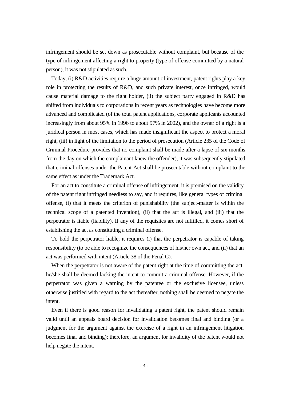infringement should be set down as prosecutable without complaint, but because of the type of infringement affecting a right to property (type of offense committed by a natural person), it was not stipulated as such.

Today, (i) R&D activities require a huge amount of investment, patent rights play a key role in protecting the results of R&D, and such private interest, once infringed, would cause material damage to the right holder, (ii) the subject party engaged in R&D has shifted from individuals to corporations in recent years as technologies have become more advanced and complicated (of the total patent applications, corporate applicants accounted increasingly from about 95% in 1996 to about 97% in 2002), and the owner of a right is a juridical person in most cases, which has made insignificant the aspect to protect a moral right, (iii) in light of the limitation to the period of prosecution (Article 235 of the Code of Criminal Procedure provides that no complaint shall be made after a lapse of six months from the day on which the complainant knew the offender), it was subsequently stipulated that criminal offenses under the Patent Act shall be prosecutable without complaint to the same effect as under the Trademark Act.

For an act to constitute a criminal offense of infringement, it is premised on the validity of the patent right infringed needless to say, and it requires, like general types of criminal offense, (i) that it meets the criterion of punishability (the subject-matter is within the technical scope of a patented invention), (ii) that the act is illegal, and (iii) that the perpetrator is liable (liability). If any of the requisites are not fulfilled, it comes short of establishing the act as constituting a criminal offense.

To hold the perpetrator liable, it requires (i) that the perpetrator is capable of taking responsibility (to be able to recognize the consequences of his/her own act, and (ii) that an act was performed with intent (Article 38 of the Penal C).

When the perpetrator is not aware of the patent right at the time of committing the act, he/she shall be deemed lacking the intent to commit a criminal offense. However, if the perpetrator was given a warning by the patentee or the exclusive licensee, unless otherwise justified with regard to the act thereafter, nothing shall be deemed to negate the intent.

Even if there is good reason for invalidating a patent right, the patent should remain valid until an appeals board decision for invalidation becomes final and binding (or a judgment for the argument against the exercise of a right in an infringement litigation becomes final and binding); therefore, an argument for invalidity of the patent would not help negate the intent.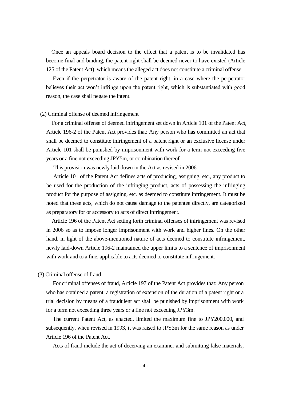Once an appeals board decision to the effect that a patent is to be invalidated has become final and binding, the patent right shall be deemed never to have existed (Article 125 of the Patent Act), which means the alleged act does not constitute a criminal offense.

Even if the perpetrator is aware of the patent right, in a case where the perpetrator believes their act won't infringe upon the patent right, which is substantiated with good reason, the case shall negate the intent.

#### (2) Criminal offense of deemed infringement

For a criminal offense of deemed infringement set down in Article 101 of the Patent Act, Article 196-2 of the Patent Act provides that: Any person who has committed an act that shall be deemed to constitute infringement of a patent right or an exclusive license under Article 101 shall be punished by imprisonment with work for a term not exceeding five years or a fine not exceeding JPY5m, or combination thereof.

This provision was newly laid down in the Act as revised in 2006.

Article 101 of the Patent Act defines acts of producing, assigning, etc., any product to be used for the production of the infringing product, acts of possessing the infringing product for the purpose of assigning, etc. as deemed to constitute infringement. It must be noted that these acts, which do not cause damage to the patentee directly, are categorized as preparatory for or accessory to acts of direct infringement.

Article 196 of the Patent Act setting forth criminal offenses of infringement was revised in 2006 so as to impose longer imprisonment with work and higher fines. On the other hand, in light of the above-mentioned nature of acts deemed to constitute infringement, newly laid-down Article 196-2 maintained the upper limits to a sentence of imprisonment with work and to a fine, applicable to acts deemed to constitute infringement.

#### (3) Criminal offense of fraud

For criminal offenses of fraud, Article 197 of the Patent Act provides that: Any person who has obtained a patent, a registration of extension of the duration of a patent right or a trial decision by means of a fraudulent act shall be punished by imprisonment with work for a term not exceeding three years or a fine not exceeding JPY3m.

The current Patent Act, as enacted, limited the maximum fine to JPY200,000, and subsequently, when revised in 1993, it was raised to JPY3m for the same reason as under Article 196 of the Patent Act.

Acts of fraud include the act of deceiving an examiner and submitting false materials,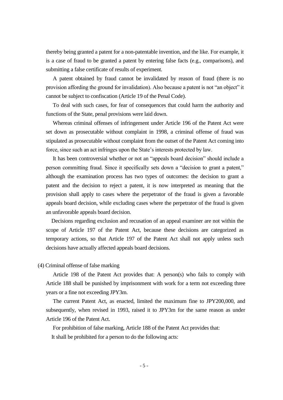thereby being granted a patent for a non-patentable invention, and the like. For example, it is a case of fraud to be granted a patent by entering false facts (e.g., comparisons), and submitting a false certificate of results of experiment.

A patent obtained by fraud cannot be invalidated by reason of fraud (there is no provision affording the ground for invalidation). Also because a patent is not "an object" it cannot be subject to confiscation (Article 19 of the Penal Code).

To deal with such cases, for fear of consequences that could harm the authority and functions of the State, penal provisions were laid down.

Whereas criminal offenses of infringement under Article 196 of the Patent Act were set down as prosecutable without complaint in 1998, a criminal offense of fraud was stipulated as prosecutable without complaint from the outset of the Patent Act coming into force, since such an act infringes upon the State's interests protected by law.

It has been controversial whether or not an "appeals board decision" should include a person committing fraud. Since it specifically sets down a "decision to grant a patent," although the examination process has two types of outcomes: the decision to grant a patent and the decision to reject a patent, it is now interpreted as meaning that the provision shall apply to cases where the perpetrator of the fraud is given a favorable appeals board decision, while excluding cases where the perpetrator of the fraud is given an unfavorable appeals board decision.

Decisions regarding exclusion and recusation of an appeal examiner are not within the scope of Article 197 of the Patent Act, because these decisions are categorized as temporary actions, so that Article 197 of the Patent Act shall not apply unless such decisions have actually affected appeals board decisions.

# (4) Criminal offense of false marking

Article 198 of the Patent Act provides that: A person(s) who fails to comply with Article 188 shall be punished by imprisonment with work for a term not exceeding three years or a fine not exceeding JPY3m.

The current Patent Act, as enacted, limited the maximum fine to JPY200,000, and subsequently, when revised in 1993, raised it to JPY3m for the same reason as under Article 196 of the Patent Act.

For prohibition of false marking, Article 188 of the Patent Act provides that: It shall be prohibited for a person to do the following acts: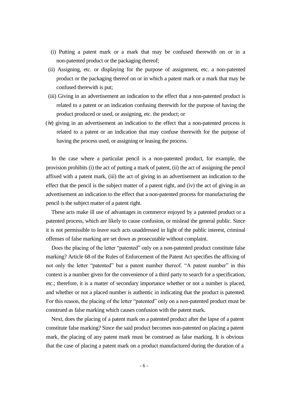- (i) Putting a patent mark or a mark that may be confused therewith on or in a non-patented product or the packaging thereof;
- (ii) Assigning, etc. or displaying for the purpose of assignment, etc. a non-patented product or the packaging thereof on or in which a patent mark or a mark that may be confused therewith is put;
- (iii) Giving in an advertisement an indication to the effect that a non-patented product is related to a patent or an indication confusing therewith for the purpose of having the product produced or used, or assigning, etc. the product; or
- (ⅳ) giving in an advertisement an indication to the effect that a non-patented process is related to a patent or an indication that may confuse therewith for the purpose of having the process used, or assigning or leasing the process.

In the case where a particular pencil is a non-patented product, for example, the provision prohibits (i) the act of putting a mark of patent, (ii) the act of assigning the pencil affixed with a patent mark, (iii) the act of giving in an advertisement an indication to the effect that the pencil is the subject matter of a patent right, and (iv) the act of giving in an advertisement an indication to the effect that a non-patented process for manufacturing the pencil is the subject matter of a patent right.

These acts make ill use of advantages in commerce enjoyed by a patented product or a patented process, which are likely to cause confusion, or mislead the general public. Since it is not permissible to leave such acts unaddressed in light of the public interest, criminal offenses of false marking are set down as prosecutable without complaint.

Does the placing of the letter "patented" only on a non-patented product constitute false marking? Article 68 of the Rules of Enforcement of the Patent Act specifies the affixing of not only the letter "patented" but a patent number thereof. "A patent number" in this context is a number given for the convenience of a third party to search for a specification, etc.; therefore, it is a matter of secondary importance whether or not a number is placed, and whether or not a placed number is authentic in indicating that the product is patented. For this reason, the placing of the letter "patented" only on a non-patented product must be construed as false marking which causes confusion with the patent mark.

Next, does the placing of a patent mark on a patented product after the lapse of a patent constitute false marking? Since the said product becomes non-patented on placing a patent mark, the placing of any patent mark must be construed as false marking. It is obvious that the case of placing a patent mark on a product manufactured during the duration of a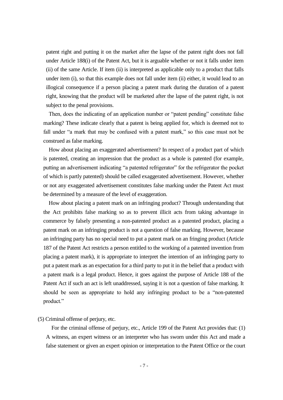patent right and putting it on the market after the lapse of the patent right does not fall under Article 188(i) of the Patent Act, but it is arguable whether or not it falls under item (ii) of the same Article. If item (ii) is interpreted as applicable only to a product that falls under item (i), so that this example does not fall under item (ii) either, it would lead to an illogical consequence if a person placing a patent mark during the duration of a patent right, knowing that the product will be marketed after the lapse of the patent right, is not subject to the penal provisions.

Then, does the indicating of an application number or "patent pending" constitute false marking? These indicate clearly that a patent is being applied for, which is deemed not to fall under "a mark that may be confused with a patent mark," so this case must not be construed as false marking.

How about placing an exaggerated advertisement? In respect of a product part of which is patented, creating an impression that the product as a whole is patented (for example, putting an advertisement indicating "a patented refrigerator" for the refrigerator the pocket of which is partly patented) should be called exaggerated advertisement. However, whether or not any exaggerated advertisement constitutes false marking under the Patent Act must be determined by a measure of the level of exaggeration.

How about placing a patent mark on an infringing product? Through understanding that the Act prohibits false marking so as to prevent illicit acts from taking advantage in commerce by falsely presenting a non-patented product as a patented product, placing a patent mark on an infringing product is not a question of false marking. However, because an infringing party has no special need to put a patent mark on an fringing product (Article 187 of the Patent Act restricts a person entitled to the working of a patented invention from placing a patent mark), it is appropriate to interpret the intention of an infringing party to put a patent mark as an expectation for a third party to put it in the belief that a product with a patent mark is a legal product. Hence, it goes against the purpose of Article 188 of the Patent Act if such an act is left unaddressed, saying it is not a question of false marking. It should be seen as appropriate to hold any infringing product to be a "non-patented product."

# (5) Criminal offense of perjury, etc.

For the criminal offense of perjury, etc., Article 199 of the Patent Act provides that: (1) A witness, an expert witness or an interpreter who has sworn under this Act and made a false statement or given an expert opinion or interpretation to the Patent Office or the court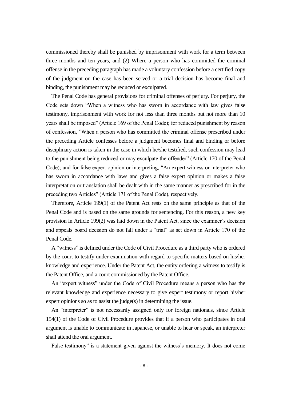commissioned thereby shall be punished by imprisonment with work for a term between three months and ten years, and (2) Where a person who has committed the criminal offense in the preceding paragraph has made a voluntary confession before a certified copy of the judgment on the case has been served or a trial decision has become final and binding, the punishment may be reduced or exculpated.

The Penal Code has general provisions for criminal offenses of perjury. For perjury, the Code sets down "When a witness who has sworn in accordance with law gives false testimony, imprisonment with work for not less than three months but not more than 10 years shall be imposed" (Article 169 of the Penal Code); for reduced punishment by reason of confession, "When a person who has committed the criminal offense prescribed under the preceding Article confesses before a judgment becomes final and binding or before disciplinary action is taken in the case in which he/she testified, such confession may lead to the punishment being reduced or may exculpate the offender" (Article 170 of the Penal Code); and for false expert opinion or interpreting, "An expert witness or interpreter who has sworn in accordance with laws and gives a false expert opinion or makes a false interpretation or translation shall be dealt with in the same manner as prescribed for in the preceding two Articles" (Article 171 of the Penal Code), respectively.

Therefore, Article 199(1) of the Patent Act rests on the same principle as that of the Penal Code and is based on the same grounds for sentencing. For this reason, a new key provision in Article 199(2) was laid down in the Patent Act, since the examiner's decision and appeals board decision do not fall under a "trial" as set down in Article 170 of the Penal Code.

A "witness" is defined under the Code of Civil Procedure as a third party who is ordered by the court to testify under examination with regard to specific matters based on his/her knowledge and experience. Under the Patent Act, the entity ordering a witness to testify is the Patent Office, and a court commissioned by the Patent Office.

An "expert witness" under the Code of Civil Procedure means a person who has the relevant knowledge and experience necessary to give expert testimony or report his/her expert opinions so as to assist the judge(s) in determining the issue.

An "interpreter" is not necessarily assigned only for foreign nationals, since Article 154(1) of the Code of Civil Procedure provides that if a person who participates in oral argument is unable to communicate in Japanese, or unable to hear or speak, an interpreter shall attend the oral argument.

False testimony" is a statement given against the witness's memory. It does not come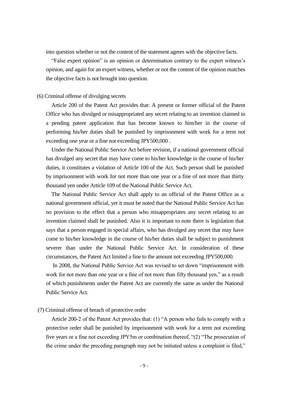into question whether or not the content of the statement agrees with the objective facts.

"False expert opinion" is an opinion or determination contrary to the expert witness's opinion, and again for an expert witness, whether or not the content of the opinion matches the objective facts is not brought into question.

# (6) Criminal offense of divulging secrets

Article 200 of the Patent Act provides that: A present or former official of the Patent Office who has divulged or misappropriated any secret relating to an invention claimed in a pending patent application that has become known to him/her in the course of performing his/her duties shall be punished by imprisonment with work for a term not exceeding one year or a fine not exceeding JPY500,000 .

Under the National Public Service Act before revision, if a national government official has divulged any secret that may have come to his/her knowledge in the course of his/her duties, it constitutes a violation of Article 100 of the Act. Such person shall be punished by imprisonment with work for not more than one year or a fine of not more than thirty thousand yen under Article 109 of the National Public Service Act.

The National Public Service Act shall apply to an official of the Patent Office as a national government official, yet it must be noted that the National Public Service Act has no provision to the effect that a person who misappropriates any secret relating to an invention claimed shall be punished. Also it is important to note there is legislation that says that a person engaged in special affairs, who has divulged any secret that may have come to his/her knowledge in the course of his/her duties shall be subject to punishment severer than under the National Public Service Act. In consideration of these circumstances, the Patent Act limited a fine to the amount not exceeding JPY500,000.

In 2008, the National Public Service Act was revised to set down "imprisonment with work for not more than one year or a fine of not more than fifty thousand yen," as a result of which punishments under the Patent Act are currently the same as under the National Public Service Act.

# (7) Criminal offense of breach of protective order

Article 200-2 of the Patent Act provides that: (1) "A person who fails to comply with a protective order shall be punished by imprisonment with work for a term not exceeding five years or a fine not exceeding JPY5m or combination thereof, "(2) "The prosecution of the crime under the preceding paragraph may not be initiated unless a complaint is filed,"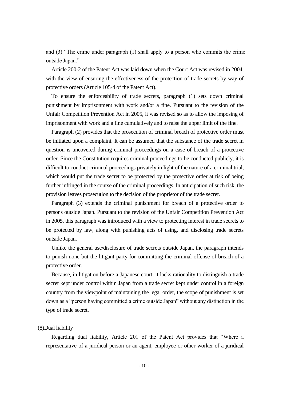and (3) "The crime under paragraph (1) shall apply to a person who commits the crime outside Japan."

Article 200-2 of the Patent Act was laid down when the Court Act was revised in 2004, with the view of ensuring the effectiveness of the protection of trade secrets by way of protective orders (Article 105-4 of the Patent Act).

To ensure the enforceability of trade secrets, paragraph (1) sets down criminal punishment by imprisonment with work and/or a fine. Pursuant to the revision of the Unfair Competition Prevention Act in 2005, it was revised so as to allow the imposing of imprisonment with work and a fine cumulatively and to raise the upper limit of the fine.

Paragraph (2) provides that the prosecution of criminal breach of protective order must be initiated upon a complaint. It can be assumed that the substance of the trade secret in question is uncovered during criminal proceedings on a case of breach of a protective order. Since the Constitution requires criminal proceedings to be conducted publicly, it is difficult to conduct criminal proceedings privately in light of the nature of a criminal trial, which would put the trade secret to be protected by the protective order at risk of being further infringed in the course of the criminal proceedings. In anticipation of such risk, the provision leaves prosecution to the decision of the proprietor of the trade secret.

Paragraph (3) extends the criminal punishment for breach of a protective order to persons outside Japan. Pursuant to the revision of the Unfair Competition Prevention Act in 2005, this paragraph was introduced with a view to protecting interest in trade secrets to be protected by law, along with punishing acts of using, and disclosing trade secrets outside Japan.

Unlike the general use/disclosure of trade secrets outside Japan, the paragraph intends to punish none but the litigant party for committing the criminal offense of breach of a protective order.

Because, in litigation before a Japanese court, it lacks rationality to distinguish a trade secret kept under control within Japan from a trade secret kept under control in a foreign country from the viewpoint of maintaining the legal order, the scope of punishment is set down as a "person having committed a crime outside Japan" without any distinction in the type of trade secret.

#### (8)Dual liability

Regarding dual liability, Article 201 of the Patent Act provides that "Where a representative of a juridical person or an agent, employee or other worker of a juridical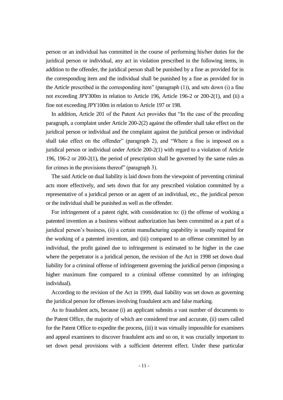person or an individual has committed in the course of performing his/her duties for the juridical person or individual, any act in violation prescribed in the following items, in addition to the offender, the juridical person shall be punished by a fine as provided for in the corresponding item and the individual shall be punished by a fine as provided for in the Article prescribed in the corresponding item" (paragraph (1)), and sets down (i) a fine not exceeding JPY300m in relation to Article 196, Article 196-2 or 200-2(1), and (ii) a fine not exceeding JPY100m in relation to Article 197 or 198.

In addition, Article 201 of the Patent Act provides that "In the case of the preceding paragraph, a complaint under Article 200-2(2) against the offender shall take effect on the juridical person or individual and the complaint against the juridical person or individual shall take effect on the offender" (paragraph 2), and "Where a fine is imposed on a juridical person or individual under Article 200-2(1) with regard to a violation of Article 196, 196-2 or 200-2(1), the period of prescription shall be governed by the same rules as for crimes in the provisions thereof" (paragraph 3).

The said Article on dual liability is laid down from the viewpoint of preventing criminal acts more effectively, and sets down that for any prescribed violation committed by a representative of a juridical person or an agent of an individual, etc., the juridical person or the individual shall be punished as well as the offender.

For infringement of a patent right, with consideration to: (i) the offense of working a patented invention as a business without authorization has been committed as a part of a juridical person's business, (ii) a certain manufacturing capability is usually required for the working of a patented invention, and (iii) compared to an offense committed by an individual, the profit gained due to infringement is estimated to be higher in the case where the perpetrator is a juridical person, the revision of the Act in 1998 set down dual liability for a criminal offense of infringement governing the juridical person (imposing a higher maximum fine compared to a criminal offense committed by an infringing individual).

According to the revision of the Act in 1999, dual liability was set down as governing the juridical person for offenses involving fraudulent acts and false marking.

As to fraudulent acts, because (i) an applicant submits a vast number of documents to the Patent Office, the majority of which are considered true and accurate, (ii) users called for the Patent Office to expedite the process, (iii) it was virtually impossible for examiners and appeal examiners to discover fraudulent acts and so on, it was crucially important to set down penal provisions with a sufficient deterrent effect. Under these particular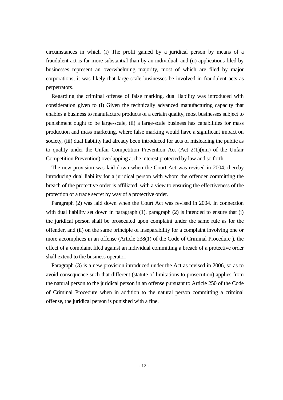circumstances in which (i) The profit gained by a juridical person by means of a fraudulent act is far more substantial than by an individual, and (ii) applications filed by businesses represent an overwhelming majority, most of which are filed by major corporations, it was likely that large-scale businesses be involved in fraudulent acts as perpetrators.

Regarding the criminal offense of false marking, dual liability was introduced with consideration given to (i) Given the technically advanced manufacturing capacity that enables a business to manufacture products of a certain quality, most businesses subject to punishment ought to be large-scale, (ii) a large-scale business has capabilities for mass production and mass marketing, where false marking would have a significant impact on society, (iii) dual liability had already been introduced for acts of misleading the public as to quality under the Unfair Competition Prevention Act (Act  $2(1)(xiii)$  of the Unfair Competition Prevention) overlapping at the interest protected by law and so forth.

The new provision was laid down when the Court Act was revised in 2004, thereby introducing dual liability for a juridical person with whom the offender committing the breach of the protective order is affiliated, with a view to ensuring the effectiveness of the protection of a trade secret by way of a protective order.

Paragraph (2) was laid down when the Court Act was revised in 2004. In connection with dual liability set down in paragraph  $(1)$ , paragraph  $(2)$  is intended to ensure that  $(i)$ the juridical person shall be prosecuted upon complaint under the same rule as for the offender, and (ii) on the same principle of inseparability for a complaint involving one or more accomplices in an offense (Article 238(1) of the Code of Criminal Procedure ), the effect of a complaint filed against an individual committing a breach of a protective order shall extend to the business operator.

Paragraph (3) is a new provision introduced under the Act as revised in 2006, so as to avoid consequence such that different (statute of limitations to prosecution) applies from the natural person to the juridical person in an offense pursuant to Article 250 of the Code of Criminal Procedure when in addition to the natural person committing a criminal offense, the juridical person is punished with a fine.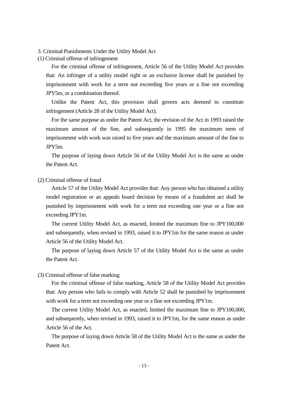3. Criminal Punishments Under the Utility Model Act

(1) Criminal offense of infringement

For the criminal offense of infringement, Article 56 of the Utility Model Act provides that: An infringer of a utility model right or an exclusive license shall be punished by imprisonment with work for a term not exceeding five years or a fine not exceeding JPY5m, or a combination thereof.

Unlike the Patent Act, this provision shall govern acts deemed to constitute infringement (Article 28 of the Utility Model Act).

For the same purpose as under the Patent Act, the revision of the Act in 1993 raised the maximum amount of the fine, and subsequently in 1995 the maximum term of imprisonment with work was raised to five years and the maximum amount of the fine to JPY5m.

The purpose of laying down Article 56 of the Utility Model Act is the same as under the Patent Act.

# (2) Criminal offense of fraud

Article 57 of the Utility Model Act provides that: Any person who has obtained a utility model registration or an appeals board decision by means of a fraudulent act shall be punished by imprisonment with work for a term not exceeding one year or a fine not exceeding JPY1m.

The current Utility Model Act, as enacted, limited the maximum fine to JPY100,000 and subsequently, when revised in 1993, raised it to JPY1m for the same reason as under Article 56 of the Utility Model Act.

The purpose of laying down Article 57 of the Utility Model Act is the same as under the Patent Act.

# (3) Criminal offense of false marking

For the criminal offense of false marking, Article 58 of the Utility Model Act provides that: Any person who fails to comply with Article 52 shall be punished by imprisonment with work for a term not exceeding one year or a fine not exceeding JPY1m.

The current Utility Model Act, as enacted, limited the maximum fine to JPY100,000, and subsequently, when revised in 1993, raised it to JPY1m, for the same reason as under Article 56 of the Act.

The purpose of laying down Article 58 of the Utility Model Act is the same as under the Patent Act.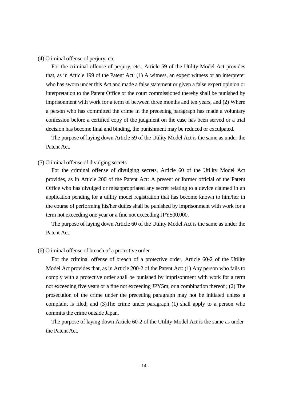(4) Criminal offense of perjury, etc.

For the criminal offense of perjury, etc., Article 59 of the Utility Model Act provides that, as in Article 199 of the Patent Act: (1) A witness, an expert witness or an interpreter who has sworn under this Act and made a false statement or given a false expert opinion or interpretation to the Patent Office or the court commissioned thereby shall be punished by imprisonment with work for a term of between three months and ten years, and (2) Where a person who has committed the crime in the preceding paragraph has made a voluntary confession before a certified copy of the judgment on the case has been served or a trial decision has become final and binding, the punishment may be reduced or exculpated.

The purpose of laying down Article 59 of the Utility Model Act is the same as under the Patent Act.

#### (5) Criminal offense of divulging secrets

For the criminal offense of divulging secrets, Article 60 of the Utility Model Act provides, as in Article 200 of the Patent Act: A present or former official of the Patent Office who has divulged or misappropriated any secret relating to a device claimed in an application pending for a utility model registration that has become known to him/her in the course of performing his/her duties shall be punished by imprisonment with work for a term not exceeding one year or a fine not exceeding JPY500,000.

The purpose of laying down Article 60 of the Utility Model Act is the same as under the Patent Act.

# (6) Criminal offense of breach of a protective order

For the criminal offense of breach of a protective order, Article 60-2 of the Utility Model Act provides that, as in Article 200-2 of the Patent Act: (1) Any person who fails to comply with a protective order shall be punished by imprisonment with work for a term not exceeding five years or a fine not exceeding JPY5m, or a combination thereof ; (2) The prosecution of the crime under the preceding paragraph may not be initiated unless a complaint is filed; and (3)The crime under paragraph (1) shall apply to a person who commits the crime outside Japan.

The purpose of laying down Article 60-2 of the Utility Model Act is the same as under the Patent Act.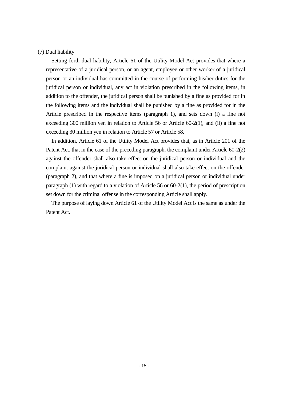# (7) Dual liability

Setting forth dual liability, Article 61 of the Utility Model Act provides that where a representative of a juridical person, or an agent, employee or other worker of a juridical person or an individual has committed in the course of performing his/her duties for the juridical person or individual, any act in violation prescribed in the following items, in addition to the offender, the juridical person shall be punished by a fine as provided for in the following items and the individual shall be punished by a fine as provided for in the Article prescribed in the respective items (paragraph 1), and sets down (i) a fine not exceeding 300 million yen in relation to Article 56 or Article 60-2(1), and (ii) a fine not exceeding 30 million yen in relation to Article 57 or Article 58.

In addition, Article 61 of the Utility Model Act provides that, as in Article 201 of the Patent Act, that in the case of the preceding paragraph, the complaint under Article 60-2(2) against the offender shall also take effect on the juridical person or individual and the complaint against the juridical person or individual shall also take effect on the offender (paragraph 2), and that where a fine is imposed on a juridical person or individual under paragraph (1) with regard to a violation of Article 56 or 60-2(1), the period of prescription set down for the criminal offense in the corresponding Article shall apply.

The purpose of laying down Article 61 of the Utility Model Act is the same as under the Patent Act.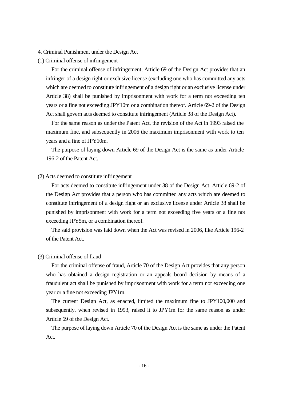#### 4. Criminal Punishment under the Design Act

(1) Criminal offense of infringement

For the criminal offense of infringement, Article 69 of the Design Act provides that an infringer of a design right or exclusive license (excluding one who has committed any acts which are deemed to constitute infringement of a design right or an exclusive license under Article 38) shall be punished by imprisonment with work for a term not exceeding ten years or a fine not exceeding JPY10m or a combination thereof. Article 69-2 of the Design Act shall govern acts deemed to constitute infringement (Article 38 of the Design Act).

For the same reason as under the Patent Act, the revision of the Act in 1993 raised the maximum fine, and subsequently in 2006 the maximum imprisonment with work to ten years and a fine of JPY10m.

The purpose of laying down Article 69 of the Design Act is the same as under Article 196-2 of the Patent Act.

# (2) Acts deemed to constitute infringement

For acts deemed to constitute infringement under 38 of the Design Act, Article 69-2 of the Design Act provides that a person who has committed any acts which are deemed to constitute infringement of a design right or an exclusive license under Article 38 shall be punished by imprisonment with work for a term not exceeding five years or a fine not exceeding JPY5m, or a combination thereof.

The said provision was laid down when the Act was revised in 2006, like Article 196-2 of the Patent Act.

# (3) Criminal offense of fraud

For the criminal offense of fraud, Article 70 of the Design Act provides that any person who has obtained a design registration or an appeals board decision by means of a fraudulent act shall be punished by imprisonment with work for a term not exceeding one year or a fine not exceeding JPY1m.

The current Design Act, as enacted, limited the maximum fine to JPY100,000 and subsequently, when revised in 1993, raised it to JPY1m for the same reason as under Article 69 of the Design Act.

The purpose of laying down Article 70 of the Design Act is the same as under the Patent Act.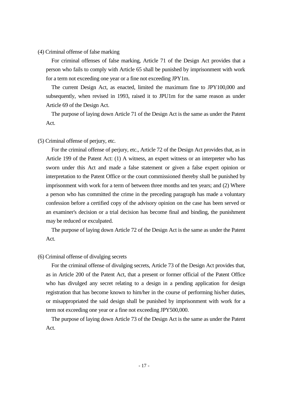#### (4) Criminal offense of false marking

For criminal offenses of false marking, Article 71 of the Design Act provides that a person who fails to comply with Article 65 shall be punished by imprisonment with work for a term not exceeding one year or a fine not exceeding JPY1m.

The current Design Act, as enacted, limited the maximum fine to JPY100,000 and subsequently, when revised in 1993, raised it to JPU1m for the same reason as under Article 69 of the Design Act.

The purpose of laying down Article 71 of the Design Act is the same as under the Patent Act.

#### (5) Criminal offense of perjury, etc.

For the criminal offense of perjury, etc., Article 72 of the Design Act provides that, as in Article 199 of the Patent Act: (1) A witness, an expert witness or an interpreter who has sworn under this Act and made a false statement or given a false expert opinion or interpretation to the Patent Office or the court commissioned thereby shall be punished by imprisonment with work for a term of between three months and ten years; and (2) Where a person who has committed the crime in the preceding paragraph has made a voluntary confession before a certified copy of the advisory opinion on the case has been served or an examiner's decision or a trial decision has become final and binding, the punishment may be reduced or exculpated.

The purpose of laying down Article 72 of the Design Act is the same as under the Patent Act.

# (6) Criminal offense of divulging secrets

For the criminal offense of divulging secrets, Article 73 of the Design Act provides that, as in Article 200 of the Patent Act, that a present or former official of the Patent Office who has divulged any secret relating to a design in a pending application for design registration that has become known to him/her in the course of performing his/her duties, or misappropriated the said design shall be punished by imprisonment with work for a term not exceeding one year or a fine not exceeding JPY500,000.

The purpose of laying down Article 73 of the Design Act is the same as under the Patent Act.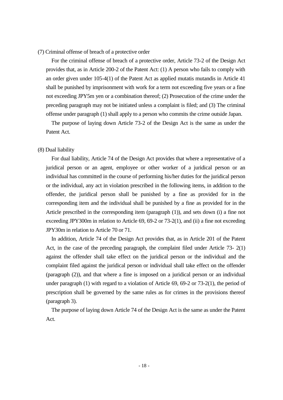#### (7) Criminal offense of breach of a protective order

For the criminal offense of breach of a protective order, Article 73-2 of the Design Act provides that, as in Article 200-2 of the Patent Act: (1) A person who fails to comply with an order given under 105-4(1) of the Patent Act as applied mutatis mutandis in Article 41 shall be punished by imprisonment with work for a term not exceeding five years or a fine not exceeding JPY5m yen or a combination thereof; (2) Prosecution of the crime under the preceding paragraph may not be initiated unless a complaint is filed; and (3) The criminal offense under paragraph (1) shall apply to a person who commits the crime outside Japan.

The purpose of laying down Article 73-2 of the Design Act is the same as under the Patent Act.

# (8) Dual liability

For dual liability, Article 74 of the Design Act provides that where a representative of a juridical person or an agent, employee or other worker of a juridical person or an individual has committed in the course of performing his/her duties for the juridical person or the individual, any act in violation prescribed in the following items, in addition to the offender, the juridical person shall be punished by a fine as provided for in the corresponding item and the individual shall be punished by a fine as provided for in the Article prescribed in the corresponding item (paragraph (1)), and sets down (i) a fine not exceeding JPY300m in relation to Article 69, 69-2 or 73-2(1), and (ii) a fine not exceeding JPY30m in relation to Article 70 or 71.

In addition, Article 74 of the Design Act provides that, as in Article 201 of the Patent Act, in the case of the preceding paragraph, the complaint filed under Article 73- 2(1) against the offender shall take effect on the juridical person or the individual and the complaint filed against the juridical person or individual shall take effect on the offender (paragraph (2)), and that where a fine is imposed on a juridical person or an individual under paragraph (1) with regard to a violation of Article 69, 69-2 or 73-2(1), the period of prescription shall be governed by the same rules as for crimes in the provisions thereof (paragraph 3).

The purpose of laying down Article 74 of the Design Act is the same as under the Patent Act.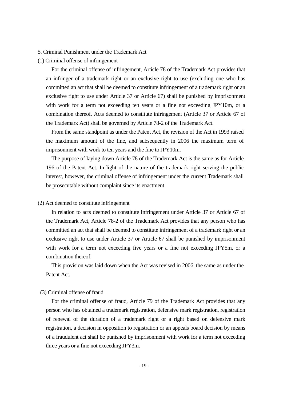# 5. Criminal Punishment under the Trademark Act

### (1) Criminal offense of infringement

For the criminal offense of infringement, Article 78 of the Trademark Act provides that an infringer of a trademark right or an exclusive right to use (excluding one who has committed an act that shall be deemed to constitute infringement of a trademark right or an exclusive right to use under Article 37 or Article 67) shall be punished by imprisonment with work for a term not exceeding ten years or a fine not exceeding JPY10m, or a combination thereof. Acts deemed to constitute infringement (Article 37 or Article 67 of the Trademark Act) shall be governed by Article 78-2 of the Trademark Act.

From the same standpoint as under the Patent Act, the revision of the Act in 1993 raised the maximum amount of the fine, and subsequently in 2006 the maximum term of imprisonment with work to ten years and the fine to JPY10m.

The purpose of laying down Article 78 of the Trademark Act is the same as for Article 196 of the Patent Act. In light of the nature of the trademark right serving the public interest, however, the criminal offense of infringement under the current Trademark shall be prosecutable without complaint since its enactment.

#### (2) Act deemed to constitute infringement

In relation to acts deemed to constitute infringement under Article 37 or Article 67 of the Trademark Act, Article 78-2 of the Trademark Act provides that any person who has committed an act that shall be deemed to constitute infringement of a trademark right or an exclusive right to use under Article 37 or Article 67 shall be punished by imprisonment with work for a term not exceeding five years or a fine not exceeding JPY5m, or a combination thereof.

This provision was laid down when the Act was revised in 2006, the same as under the Patent Act.

# (3) Criminal offense of fraud

For the criminal offense of fraud, Article 79 of the Trademark Act provides that any person who has obtained a trademark registration, defensive mark registration, registration of renewal of the duration of a trademark right or a right based on defensive mark registration, a decision in opposition to registration or an appeals board decision by means of a fraudulent act shall be punished by imprisonment with work for a term not exceeding three years or a fine not exceeding JPY3m.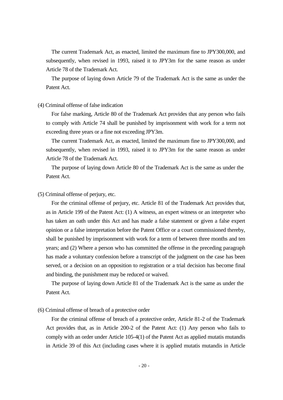The current Trademark Act, as enacted, limited the maximum fine to JPY300,000, and subsequently, when revised in 1993, raised it to JPY3m for the same reason as under Article 78 of the Trademark Act.

The purpose of laying down Article 79 of the Trademark Act is the same as under the Patent Act.

#### (4) Criminal offense of false indication

For false marking, Article 80 of the Trademark Act provides that any person who fails to comply with Article 74 shall be punished by imprisonment with work for a term not exceeding three years or a fine not exceeding JPY3m.

The current Trademark Act, as enacted, limited the maximum fine to JPY300,000, and subsequently, when revised in 1993, raised it to JPY3m for the same reason as under Article 78 of the Trademark Act.

The purpose of laying down Article 80 of the Trademark Act is the same as under the Patent Act.

# (5) Criminal offense of perjury, etc.

For the criminal offense of perjury, etc. Article 81 of the Trademark Act provides that, as in Article 199 of the Patent Act: (1) A witness, an expert witness or an interpreter who has taken an oath under this Act and has made a false statement or given a false expert opinion or a false interpretation before the Patent Office or a court commissioned thereby, shall be punished by imprisonment with work for a term of between three months and ten years; and (2) Where a person who has committed the offense in the preceding paragraph has made a voluntary confession before a transcript of the judgment on the case has been served, or a decision on an opposition to registration or a trial decision has become final and binding, the punishment may be reduced or waived.

The purpose of laying down Article 81 of the Trademark Act is the same as under the Patent Act.

# (6) Criminal offense of breach of a protective order

For the criminal offense of breach of a protective order, Article 81-2 of the Trademark Act provides that, as in Article 200-2 of the Patent Act: (1) Any person who fails to comply with an order under Article 105-4(1) of the Patent Act as applied mutatis mutandis in Article 39 of this Act (including cases where it is applied mutatis mutandis in Article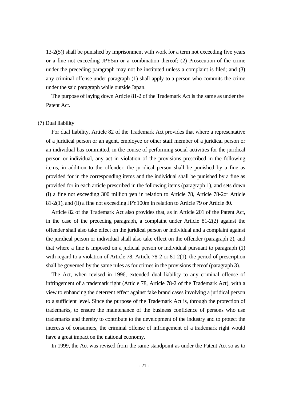13-2(5)) shall be punished by imprisonment with work for a term not exceeding five years or a fine not exceeding JPY5m or a combination thereof; (2) Prosecution of the crime under the preceding paragraph may not be instituted unless a complaint is filed; and (3) any criminal offense under paragraph (1) shall apply to a person who commits the crime under the said paragraph while outside Japan.

The purpose of laying down Article 81-2 of the Trademark Act is the same as under the Patent Act.

#### (7) Dual liability

For dual liability, Article 82 of the Trademark Act provides that where a representative of a juridical person or an agent, employee or other staff member of a juridical person or an individual has committed, in the course of performing social activities for the juridical person or individual, any act in violation of the provisions prescribed in the following items, in addition to the offender, the juridical person shall be punished by a fine as provided for in the corresponding items and the individual shall be punished by a fine as provided for in each article prescribed in the following items (paragraph 1), and sets down (i) a fine not exceeding 300 million yen in relation to Article 78, Article 78-2or Article 81-2(1), and (ii) a fine not exceeding JPY100m in relation to Article 79 or Article 80.

Article 82 of the Trademark Act also provides that, as in Article 201 of the Patent Act, in the case of the preceding paragraph, a complaint under Article 81-2(2) against the offender shall also take effect on the juridical person or individual and a complaint against the juridical person or individual shall also take effect on the offender (paragraph 2), and that where a fine is imposed on a judicial person or individual pursuant to paragraph (1) with regard to a violation of Article 78, Article 78-2 or 81-2(1), the period of prescription shall be governed by the same rules as for crimes in the provisions thereof (paragraph 3).

The Act, when revised in 1996, extended dual liability to any criminal offense of infringement of a trademark right (Article 78, Article 78-2 of the Trademark Act), with a view to enhancing the deterrent effect against fake brand cases involving a juridical person to a sufficient level. Since the purpose of the Trademark Act is, through the protection of trademarks, to ensure the maintenance of the business confidence of persons who use trademarks and thereby to contribute to the development of the industry and to protect the interests of consumers, the criminal offense of infringement of a trademark right would have a great impact on the national economy.

In 1999, the Act was revised from the same standpoint as under the Patent Act so as to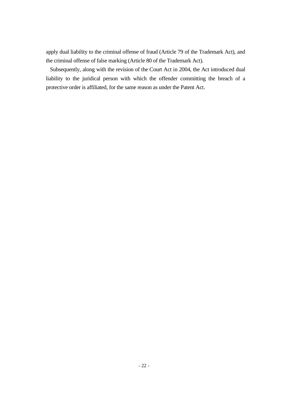apply dual liability to the criminal offense of fraud (Article 79 of the Trademark Act), and the criminal offense of false marking (Article 80 of the Trademark Act).

Subsequently, along with the revision of the Court Act in 2004, the Act introduced dual liability to the juridical person with which the offender committing the breach of a protective order is affiliated, for the same reason as under the Patent Act.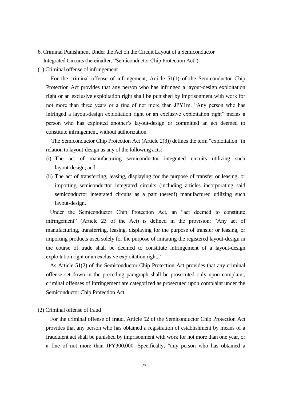- 6. Criminal Punishment Under the Act on the Circuit Layout of a Semiconductor Integrated Circuits (hereinafter, "Semiconductor Chip Protection Act")
- (1) Criminal offense of infringement

For the criminal offense of infringement, Article 51(1) of the Semiconductor Chip Protection Act provides that any person who has infringed a layout-design exploitation right or an exclusive exploitation right shall be punished by imprisonment with work for not more than three years or a fine of not more than JPY1m. "Any person who has infringed a layout-design exploitation right or an exclusive exploitation right" means a person who has exploited another's layout-design or committed an act deemed to constitute infringement, without authorization.

The Semiconductor Chip Protection Act (Article 2(3)) defines the term "exploitation" in relation to layout-design as any of the following acts:

- (i) The act of manufacturing semiconductor integrated circuits utilizing such layout-design; and
- (ii) The act of transferring, leasing, displaying for the purpose of transfer or leasing, or importing semiconductor integrated circuits (including articles incorporating said semiconductor integrated circuits as a part thereof) manufactured utilizing such layout-design.

Under the Semiconductor Chip Protection Act, an "act deemed to constitute infringement" (Article 23 of the Act) is defined in the provision: "Any act of manufacturing, transferring, leasing, displaying for the purpose of transfer or leasing, or importing products used solely for the purpose of imitating the registered layout-design in the course of trade shall be deemed to constitute infringement of a layout-design exploitation right or an exclusive exploitation right."

As Article 51(2) of the Semiconductor Chip Protection Act provides that any criminal offense set down in the preceding paragraph shall be prosecuted only upon complaint, criminal offenses of infringement are categorized as prosecuted upon complaint under the Semiconductor Chip Protection Act.

(2) Criminal offense of fraud

For the criminal offense of fraud, Article 52 of the Semiconductor Chip Protection Act provides that any person who has obtained a registration of establishment by means of a fraudulent act shall be punished by imprisonment with work for not more than one year, or a fine of not more than JPY300,000. Specifically, "any person who has obtained a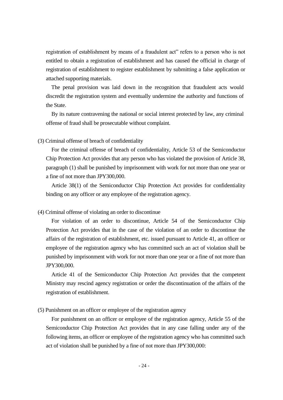registration of establishment by means of a fraudulent act" refers to a person who is not entitled to obtain a registration of establishment and has caused the official in charge of registration of establishment to register establishment by submitting a false application or attached supporting materials.

The penal provision was laid down in the recognition that fraudulent acts would discredit the registration system and eventually undermine the authority and functions of the State.

By its nature contravening the national or social interest protected by law, any criminal offense of fraud shall be prosecutable without complaint.

(3) Criminal offense of breach of confidentiality

For the criminal offense of breach of confidentiality, Article 53 of the Semiconductor Chip Protection Act provides that any person who has violated the provision of Article 38, paragraph (1) shall be punished by imprisonment with work for not more than one year or a fine of not more than JPY300,000.

Article 38(1) of the Semiconductor Chip Protection Act provides for confidentiality binding on any officer or any employee of the registration agency.

# (4) Criminal offense of violating an order to discontinue

For violation of an order to discontinue, Article 54 of the Semiconductor Chip Protection Act provides that in the case of the violation of an order to discontinue the affairs of the registration of establishment, etc. issued pursuant to Article 41, an officer or employee of the registration agency who has committed such an act of violation shall be punished by imprisonment with work for not more than one year or a fine of not more than JPY300,000.

Article 41 of the Semiconductor Chip Protection Act provides that the competent Ministry may rescind agency registration or order the discontinuation of the affairs of the registration of establishment.

(5) Punishment on an officer or employee of the registration agency

For punishment on an officer or employee of the registration agency, Article 55 of the Semiconductor Chip Protection Act provides that in any case falling under any of the following items, an officer or employee of the registration agency who has committed such act of violation shall be punished by a fine of not more than JPY300,000: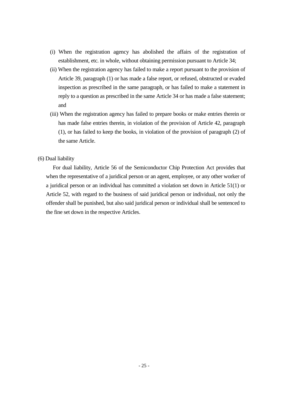- (i) When the registration agency has abolished the affairs of the registration of establishment, etc. in whole, without obtaining permission pursuant to Article 34;
- (ii) When the registration agency has failed to make a report pursuant to the provision of Article 39, paragraph (1) or has made a false report, or refused, obstructed or evaded inspection as prescribed in the same paragraph, or has failed to make a statement in reply to a question as prescribed in the same Article 34 or has made a false statement; and
- (iii) When the registration agency has failed to prepare books or make entries therein or has made false entries therein, in violation of the provision of Article 42, paragraph (1), or has failed to keep the books, in violation of the provision of paragraph (2) of the same Article.

# (6) Dual liability

For dual liability, Article 56 of the Semiconductor Chip Protection Act provides that when the representative of a juridical person or an agent, employee, or any other worker of a juridical person or an individual has committed a violation set down in Article 51(1) or Article 52, with regard to the business of said juridical person or individual, not only the offender shall be punished, but also said juridical person or individual shall be sentenced to the fine set down in the respective Articles.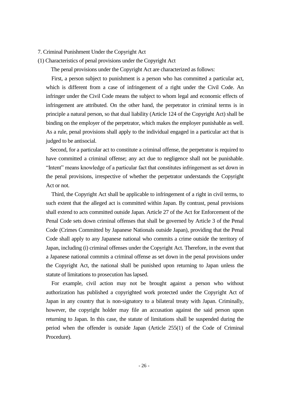#### 7. Criminal Punishment Under the Copyright Act

(1) Characteristics of penal provisions under the Copyright Act

The penal provisions under the Copyright Act are characterized as follows:

First, a person subject to punishment is a person who has committed a particular act, which is different from a case of infringement of a right under the Civil Code. An infringer under the Civil Code means the subject to whom legal and economic effects of infringement are attributed. On the other hand, the perpetrator in criminal terms is in principle a natural person, so that dual liability (Article 124 of the Copyright Act) shall be binding on the employer of the perpetrator, which makes the employer punishable as well. As a rule, penal provisions shall apply to the individual engaged in a particular act that is judged to be antisocial.

Second, for a particular act to constitute a criminal offense, the perpetrator is required to have committed a criminal offense; any act due to negligence shall not be punishable. "Intent" means knowledge of a particular fact that constitutes infringement as set down in the penal provisions, irrespective of whether the perpetrator understands the Copyright Act or not.

Third, the Copyright Act shall be applicable to infringement of a right in civil terms, to such extent that the alleged act is committed within Japan. By contrast, penal provisions shall extend to acts committed outside Japan. Article 27 of the Act for Enforcement of the Penal Code sets down criminal offenses that shall be governed by Article 3 of the Penal Code (Crimes Committed by Japanese Nationals outside Japan), providing that the Penal Code shall apply to any Japanese national who commits a crime outside the territory of Japan, including (i) criminal offenses under the Copyright Act. Therefore, in the event that a Japanese national commits a criminal offense as set down in the penal provisions under the Copyright Act, the national shall be punished upon returning to Japan unless the statute of limitations to prosecution has lapsed.

For example, civil action may not be brought against a person who without authorization has published a copyrighted work protected under the Copyright Act of Japan in any country that is non-signatory to a bilateral treaty with Japan. Criminally, however, the copyright holder may file an accusation against the said person upon returning to Japan. In this case, the statute of limitations shall be suspended during the period when the offender is outside Japan (Article 255(1) of the Code of Criminal Procedure).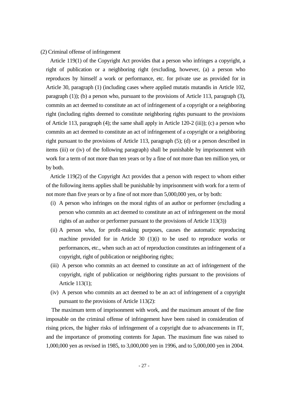#### (2) Criminal offense of infringement

Article 119(1) of the Copyright Act provides that a person who infringes a copyright, a right of publication or a neighboring right (excluding, however, (a) a person who reproduces by himself a work or performance, etc. for private use as provided for in Article 30, paragraph (1) (including cases where applied mutatis mutandis in Article 102, paragraph (1)); (b) a person who, pursuant to the provisions of Article 113, paragraph (3), commits an act deemed to constitute an act of infringement of a copyright or a neighboring right (including rights deemed to constitute neighboring rights pursuant to the provisions of Article 113, paragraph (4); the same shall apply in Article 120-2 (iii)); (c) a person who commits an act deemed to constitute an act of infringement of a copyright or a neighboring right pursuant to the provisions of Article 113, paragraph (5); (d) or a person described in items (iii) or (iv) of the following paragraph) shall be punishable by imprisonment with work for a term of not more than ten years or by a fine of not more than ten million yen, or by both.

Article 119(2) of the Copyright Act provides that a person with respect to whom either of the following items applies shall be punishable by imprisonment with work for a term of not more than five years or by a fine of not more than 5,000,000 yen, or by both:

- (i) A person who infringes on the moral rights of an author or performer (excluding a person who commits an act deemed to constitute an act of infringement on the moral rights of an author or performer pursuant to the provisions of Article 113(3))
- (ii) A person who, for profit-making purposes, causes the automatic reproducing machine provided for in Article 30 (1)(i) to be used to reproduce works or performances, etc., when such an act of reproduction constitutes an infringement of a copyright, right of publication or neighboring rights;
- (iii) A person who commits an act deemed to constitute an act of infringement of the copyright, right of publication or neighboring rights pursuant to the provisions of Article 113(1);
- (iv) A person who commits an act deemed to be an act of infringement of a copyright pursuant to the provisions of Article 113(2):

The maximum term of imprisonment with work, and the maximum amount of the fine imposable on the criminal offense of infringement have been raised in consideration of rising prices, the higher risks of infringement of a copyright due to advancements in IT, and the importance of promoting contents for Japan. The maximum fine was raised to 1,000,000 yen as revised in 1985, to 3,000,000 yen in 1996, and to 5,000,000 yen in 2004.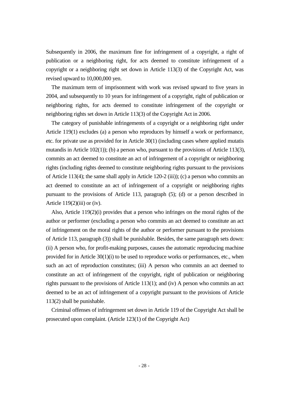Subsequently in 2006, the maximum fine for infringement of a copyright, a right of publication or a neighboring right, for acts deemed to constitute infringement of a copyright or a neighboring right set down in Article 113(3) of the Copyright Act, was revised upward to 10,000,000 yen.

The maximum term of imprisonment with work was revised upward to five years in 2004, and subsequently to 10 years for infringement of a copyright, right of publication or neighboring rights, for acts deemed to constitute infringement of the copyright or neighboring rights set down in Article 113(3) of the Copyright Act in 2006.

The category of punishable infringements of a copyright or a neighboring right under Article 119(1) excludes (a) a person who reproduces by himself a work or performance, etc. for private use as provided for in Article 30(1) (including cases where applied mutatis mutandis in Article 102(1)); (b) a person who, pursuant to the provisions of Article 113(3), commits an act deemed to constitute an act of infringement of a copyright or neighboring rights (including rights deemed to constitute neighboring rights pursuant to the provisions of Article 113(4); the same shall apply in Article 120-2 (iii)); (c) a person who commits an act deemed to constitute an act of infringement of a copyright or neighboring rights pursuant to the provisions of Article 113, paragraph (5); (d) or a person described in Article  $119(2)$ (iii) or (iv).

Also, Article 119(2)(i) provides that a person who infringes on the moral rights of the author or performer (excluding a person who commits an act deemed to constitute an act of infringement on the moral rights of the author or performer pursuant to the provisions of Article 113, paragraph (3)) shall be punishable. Besides, the same paragraph sets down: (ii) A person who, for profit-making purposes, causes the automatic reproducing machine provided for in Article 30(1)(i) to be used to reproduce works or performances, etc., when such an act of reproduction constitutes; (iii) A person who commits an act deemed to constitute an act of infringement of the copyright, right of publication or neighboring rights pursuant to the provisions of Article 113(1); and (iv) A person who commits an act deemed to be an act of infringement of a copyright pursuant to the provisions of Article 113(2) shall be punishable.

Criminal offenses of infringement set down in Article 119 of the Copyright Act shall be prosecuted upon complaint. (Article 123(1) of the Copyright Act)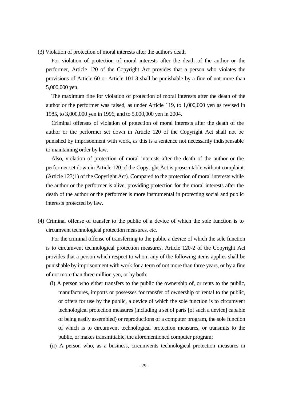(3) Violation of protection of moral interests after the author's death

For violation of protection of moral interests after the death of the author or the performer, Article 120 of the Copyright Act provides that a person who violates the provisions of Article 60 or Article 101-3 shall be punishable by a fine of not more than 5,000,000 yen.

The maximum fine for violation of protection of moral interests after the death of the author or the performer was raised, as under Article 119, to 1,000,000 yen as revised in 1985, to 3,000,000 yen in 1996, and to 5,000,000 yen in 2004.

Criminal offenses of violation of protection of moral interests after the death of the author or the performer set down in Article 120 of the Copyright Act shall not be punished by imprisonment with work, as this is a sentence not necessarily indispensable to maintaining order by law.

Also, violation of protection of moral interests after the death of the author or the performer set down in Article 120 of the Copyright Act is prosecutable without complaint (Article 123(1) of the Copyright Act). Compared to the protection of moral interests while the author or the performer is alive, providing protection for the moral interests after the death of the author or the performer is more instrumental in protecting social and public interests protected by law.

(4) Criminal offense of transfer to the public of a device of which the sole function is to circumvent technological protection measures, etc.

For the criminal offense of transferring to the public a device of which the sole function is to circumvent technological protection measures, Article 120-2 of the Copyright Act provides that a person which respect to whom any of the following items applies shall be punishable by imprisonment with work for a term of not more than three years, or by a fine of not more than three million yen, or by both:

- (i) A person who either transfers to the public the ownership of, or rents to the public, manufactures, imports or possesses for transfer of ownership or rental to the public, or offers for use by the public, a device of which the sole function is to circumvent technological protection measures (including a set of parts [of such a device] capable of being easily assembled) or reproductions of a computer program, the sole function of which is to circumvent technological protection measures, or transmits to the public, or makes transmittable, the aforementioned computer program;
- (ii) A person who, as a business, circumvents technological protection measures in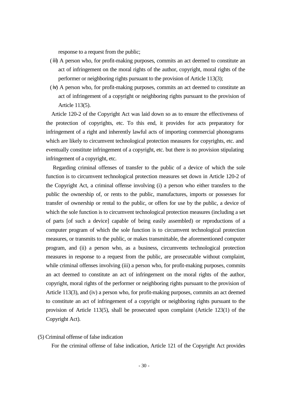response to a request from the public;

- (ⅲ) A person who, for profit-making purposes, commits an act deemed to constitute an act of infringement on the moral rights of the author, copyright, moral rights of the performer or neighboring rights pursuant to the provision of Article 113(3);
- (ⅳ) A person who, for profit-making purposes, commits an act deemed to constitute an act of infringement of a copyright or neighboring rights pursuant to the provision of Article 113(5).

Article 120-2 of the Copyright Act was laid down so as to ensure the effectiveness of the protection of copyrights, etc. To this end, it provides for acts preparatory for infringement of a right and inherently lawful acts of importing commercial phonograms which are likely to circumvent technological protection measures for copyrights, etc. and eventually constitute infringement of a copyright, etc. but there is no provision stipulating infringement of a copyright, etc.

Regarding criminal offenses of transfer to the public of a device of which the sole function is to circumvent technological protection measures set down in Article 120-2 of the Copyright Act, a criminal offense involving (i) a person who either transfers to the public the ownership of, or rents to the public, manufactures, imports or possesses for transfer of ownership or rental to the public, or offers for use by the public, a device of which the sole function is to circumvent technological protection measures (including a set of parts [of such a device] capable of being easily assembled) or reproductions of a computer program of which the sole function is to circumvent technological protection measures, or transmits to the public, or makes transmittable, the aforementioned computer program, and (ii) a person who, as a business, circumvents technological protection measures in response to a request from the public, are prosecutable without complaint, while criminal offenses involving (iii) a person who, for profit-making purposes, commits an act deemed to constitute an act of infringement on the moral rights of the author, copyright, moral rights of the performer or neighboring rights pursuant to the provision of Article 113(3), and (iv) a person who, for profit-making purposes, commits an act deemed to constitute an act of infringement of a copyright or neighboring rights pursuant to the provision of Article 113(5), shall be prosecuted upon complaint (Article 123(1) of the Copyright Act).

# (5) Criminal offense of false indication

For the criminal offense of false indication, Article 121 of the Copyright Act provides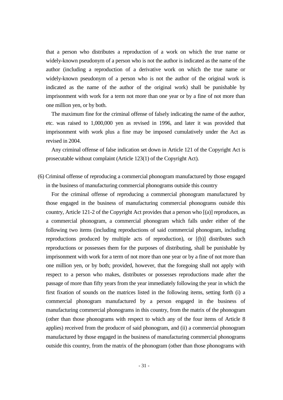that a person who distributes a reproduction of a work on which the true name or widely-known pseudonym of a person who is not the author is indicated as the name of the author (including a reproduction of a derivative work on which the true name or widely-known pseudonym of a person who is not the author of the original work is indicated as the name of the author of the original work) shall be punishable by imprisonment with work for a term not more than one year or by a fine of not more than one million yen, or by both.

The maximum fine for the criminal offense of falsely indicating the name of the author, etc. was raised to 1,000,000 yen as revised in 1996, and later it was provided that imprisonment with work plus a fine may be imposed cumulatively under the Act as revised in 2004.

Any criminal offense of false indication set down in Article 121 of the Copyright Act is prosecutable without complaint (Article 123(1) of the Copyright Act).

(6) Criminal offense of reproducing a commercial phonogram manufactured by those engaged in the business of manufacturing commercial phonograms outside this country

For the criminal offense of reproducing a commercial phonogram manufactured by those engaged in the business of manufacturing commercial phonograms outside this country, Article 121-2 of the Copyright Act provides that a person who [(a)] reproduces, as a commercial phonogram, a commercial phonogram which falls under either of the following two items (including reproductions of said commercial phonogram, including reproductions produced by multiple acts of reproduction), or [(b)] distributes such reproductions or possesses them for the purposes of distributing, shall be punishable by imprisonment with work for a term of not more than one year or by a fine of not more than one million yen, or by both; provided, however, that the foregoing shall not apply with respect to a person who makes, distributes or possesses reproductions made after the passage of more than fifty years from the year immediately following the year in which the first fixation of sounds on the matrices listed in the following items, setting forth (i) a commercial phonogram manufactured by a person engaged in the business of manufacturing commercial phonograms in this country, from the matrix of the phonogram (other than those phonograms with respect to which any of the four items of Article 8 applies) received from the producer of said phonogram, and (ii) a commercial phonogram manufactured by those engaged in the business of manufacturing commercial phonograms outside this country, from the matrix of the phonogram (other than those phonograms with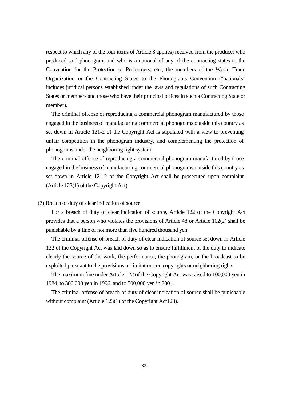respect to which any of the four items of Article 8 applies) received from the producer who produced said phonogram and who is a national of any of the contracting states to the Convention for the Protection of Performers, etc., the members of the World Trade Organization or the Contracting States to the Phonograms Convention ("nationals" includes juridical persons established under the laws and regulations of such Contracting States or members and those who have their principal offices in such a Contracting State or member).

The criminal offense of reproducing a commercial phonogram manufactured by those engaged in the business of manufacturing commercial phonograms outside this country as set down in Article 121-2 of the Copyright Act is stipulated with a view to preventing unfair competition in the phonogram industry, and complementing the protection of phonograms under the neighboring right system.

The criminal offense of reproducing a commercial phonogram manufactured by those engaged in the business of manufacturing commercial phonograms outside this country as set down in Article 121-2 of the Copyright Act shall be prosecuted upon complaint (Article 123(1) of the Copyright Act).

# (7) Breach of duty of clear indication of source

For a breach of duty of clear indication of source, Article 122 of the Copyright Act provides that a person who violates the provisions of Article 48 or Article 102(2) shall be punishable by a fine of not more than five hundred thousand yen.

The criminal offense of breach of duty of clear indication of source set down in Article 122 of the Copyright Act was laid down so as to ensure fulfillment of the duty to indicate clearly the source of the work, the performance, the phonogram, or the broadcast to be exploited pursuant to the provisions of limitations on copyrights or neighboring rights.

The maximum fine under Article 122 of the Copyright Act was raised to 100,000 yen in 1984, to 300,000 yen in 1996, and to 500,000 yen in 2004.

The criminal offense of breach of duty of clear indication of source shall be punishable without complaint (Article 123(1) of the Copyright Act123).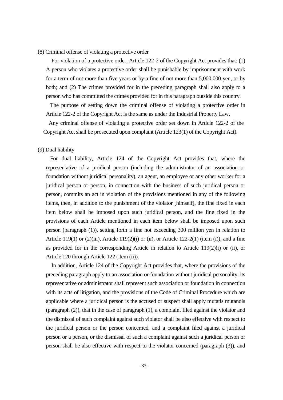(8) Criminal offense of violating a protective order

For violation of a protective order, Article 122-2 of the Copyright Act provides that: (1) A person who violates a protective order shall be punishable by imprisonment with work for a term of not more than five years or by a fine of not more than 5,000,000 yen, or by both; and (2) The crimes provided for in the preceding paragraph shall also apply to a person who has committed the crimes provided for in this paragraph outside this country.

The purpose of setting down the criminal offense of violating a protective order in Article 122-2 of the Copyright Act is the same as under the Industrial Property Law.

Any criminal offense of violating a protective order set down in Article 122-2 of the Copyright Act shall be prosecuted upon complaint (Article 123(1) of the Copyright Act).

### (9) Dual liability

For dual liability, Article 124 of the Copyright Act provides that, where the representative of a juridical person (including the administrator of an association or foundation without juridical personality), an agent, an employee or any other worker for a juridical person or person, in connection with the business of such juridical person or person, commits an act in violation of the provisions mentioned in any of the following items, then, in addition to the punishment of the violator [himself], the fine fixed in each item below shall be imposed upon such juridical person, and the fine fixed in the provisions of each Article mentioned in each item below shall be imposed upon such person (paragraph (1)), setting forth a fine not exceeding 300 million yen in relation to Article 119(1) or  $(2)(iii)$ , Article 119(2)(i) or (ii), or Article 122-2(1) (item (i)), and a fine as provided for in the corresponding Article in relation to Article  $119(2)(i)$  or (ii), or Article 120 through Article 122 (item (ii)).

In addition, Article 124 of the Copyright Act provides that, where the provisions of the preceding paragraph apply to an association or foundation without juridical personality, its representative or administrator shall represent such association or foundation in connection with its acts of litigation, and the provisions of the Code of Criminal Procedure which are applicable where a juridical person is the accused or suspect shall apply mutatis mutandis (paragraph (2)), that in the case of paragraph (1), a complaint filed against the violator and the dismissal of such complaint against such violator shall be also effective with respect to the juridical person or the person concerned, and a complaint filed against a juridical person or a person, or the dismissal of such a complaint against such a juridical person or person shall be also effective with respect to the violator concerned (paragraph (3)), and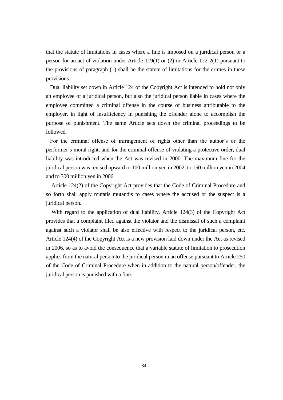that the statute of limitations in cases where a fine is imposed on a juridical person or a person for an act of violation under Article 119(1) or (2) or Article 122-2(1) pursuant to the provisions of paragraph (1) shall be the statute of limitations for the crimes in these provisions.

Dual liability set down in Article 124 of the Copyright Act is intended to hold not only an employee of a juridical person, but also the juridical person liable in cases where the employee committed a criminal offense in the course of business attributable to the employer, in light of insufficiency in punishing the offender alone to accomplish the purpose of punishment. The same Article sets down the criminal proceedings to be followed.

For the criminal offense of infringement of rights other than the author's or the performer's moral right, and for the criminal offense of violating a protective order, dual liability was introduced when the Act was revised in 2000. The maximum fine for the juridical person was revised upward to 100 million yen in 2002, to 150 million yen in 2004, and to 300 million yen in 2006.

Article 124(2) of the Copyright Act provides that the Code of Criminal Procedure and so forth shall apply mutatis mutandis to cases where the accused or the suspect is a juridical person.

With regard to the application of dual liability, Article 124(3) of the Copyright Act provides that a complaint filed against the violator and the dismissal of such a complaint against such a violator shall be also effective with respect to the juridical person, etc. Article 124(4) of the Copyright Act is a new provision laid down under the Act as revised in 2006, so as to avoid the consequence that a variable statute of limitation to prosecution applies from the natural person to the juridical person in an offense pursuant to Article 250 of the Code of Criminal Procedure when in addition to the natural person/offender, the juridical person is punished with a fine.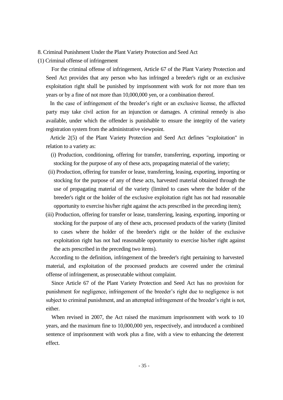8. Criminal Punishment Under the Plant Variety Protection and Seed Act

(1) Criminal offense of infringement

For the criminal offense of infringement, Article 67 of the Plant Variety Protection and Seed Act provides that any person who has infringed a breeder's right or an exclusive exploitation right shall be punished by imprisonment with work for not more than ten years or by a fine of not more than 10,000,000 yen, or a combination thereof.

In the case of infringement of the breeder's right or an exclusive license, the affected party may take civil action for an injunction or damages. A criminal remedy is also available, under which the offender is punishable to ensure the integrity of the variety registration system from the administrative viewpoint.

Article 2(5) of the Plant Variety Protection and Seed Act defines "exploitation" in relation to a variety as:

- (i) Production, conditioning, offering for transfer, transferring, exporting, importing or stocking for the purpose of any of these acts, propagating material of the variety;
- (ii) Production, offering for transfer or lease, transferring, leasing, exporting, importing or stocking for the purpose of any of these acts, harvested material obtained through the use of propagating material of the variety (limited to cases where the holder of the breeder's right or the holder of the exclusive exploitation right has not had reasonable opportunity to exercise his/her right against the acts prescribed in the preceding item);
- (iii) Production, offering for transfer or lease, transferring, leasing, exporting, importing or stocking for the purpose of any of these acts, processed products of the variety (limited to cases where the holder of the breeder's right or the holder of the exclusive exploitation right has not had reasonable opportunity to exercise his/her right against the acts prescribed in the preceding two items).

According to the definition, infringement of the breeder's right pertaining to harvested material, and exploitation of the processed products are covered under the criminal offense of infringement, as prosecutable without complaint.

Since Article 67 of the Plant Variety Protection and Seed Act has no provision for punishment for negligence, infringement of the breeder's right due to negligence is not subject to criminal punishment, and an attempted infringement of the breeder's right is not, either.

When revised in 2007, the Act raised the maximum imprisonment with work to 10 years, and the maximum fine to 10,000,000 yen, respectively, and introduced a combined sentence of imprisonment with work plus a fine, with a view to enhancing the deterrent effect.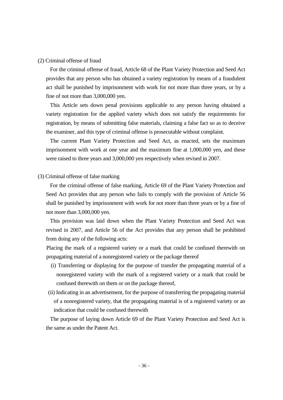#### (2) Criminal offense of fraud

For the criminal offense of fraud, Article 68 of the Plant Variety Protection and Seed Act provides that any person who has obtained a variety registration by means of a fraudulent act shall be punished by imprisonment with work for not more than three years, or by a fine of not more than 3,000,000 yen.

This Article sets down penal provisions applicable to any person having obtained a variety registration for the applied variety which does not satisfy the requirements for registration, by means of submitting false materials, claiming a false fact so as to deceive the examiner, and this type of criminal offense is prosecutable without complaint.

The current Plant Variety Protection and Seed Act, as enacted, sets the maximum imprisonment with work at one year and the maximum fine at 1,000,000 yen, and these were raised to three years and 3,000,000 yen respectively when revised in 2007.

# (3) Criminal offense of false marking

For the criminal offense of false marking, Article 69 of the Plant Variety Protection and Seed Act provides that any person who fails to comply with the provision of Article 56 shall be punished by imprisonment with work for not more than three years or by a fine of not more than 3,000,000 yen.

This provision was laid down when the Plant Variety Protection and Seed Act was revised in 2007, and Article 56 of the Act provides that any person shall be prohibited from doing any of the following acts:

Placing the mark of a registered variety or a mark that could be confused therewith on propagating material of a nonregistered variety or the package thereof

- (i) Transferring or displaying for the purpose of transfer the propagating material of a nonregistered variety with the mark of a registered variety or a mark that could be confused therewith on them or on the package thereof,
- (ii) Indicating in an advertisement, for the purpose of transferring the propagating material of a nonregistered variety, that the propagating material is of a registered variety or an indication that could be confused therewith

The purpose of laying down Article 69 of the Plant Variety Protection and Seed Act is the same as under the Patent Act.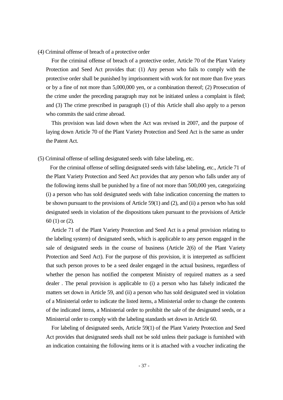(4) Criminal offense of breach of a protective order

For the criminal offense of breach of a protective order, Article 70 of the Plant Variety Protection and Seed Act provides that: (1) Any person who fails to comply with the protective order shall be punished by imprisonment with work for not more than five years or by a fine of not more than 5,000,000 yen, or a combination thereof; (2) Prosecution of the crime under the preceding paragraph may not be initiated unless a complaint is filed; and (3) The crime prescribed in paragraph (1) of this Article shall also apply to a person who commits the said crime abroad.

This provision was laid down when the Act was revised in 2007, and the purpose of laying down Article 70 of the Plant Variety Protection and Seed Act is the same as under the Patent Act.

(5) Criminal offense of selling designated seeds with false labeling, etc.

For the criminal offense of selling designated seeds with false labeling, etc., Article 71 of the Plant Variety Protection and Seed Act provides that any person who falls under any of the following items shall be punished by a fine of not more than 500,000 yen, categorizing (i) a person who has sold designated seeds with false indication concerning the matters to be shown pursuant to the provisions of Article 59(1) and (2), and (ii) a person who has sold designated seeds in violation of the dispositions taken pursuant to the provisions of Article 60 (1) or (2).

Article 71 of the Plant Variety Protection and Seed Act is a penal provision relating to the labeling system) of designated seeds, which is applicable to any person engaged in the sale of designated seeds in the course of business (Article 2(6) of the Plant Variety Protection and Seed Act). For the purpose of this provision, it is interpreted as sufficient that such person proves to be a seed dealer engaged in the actual business, regardless of whether the person has notified the competent Ministry of required matters as a seed dealer . The penal provision is applicable to (i) a person who has falsely indicated the matters set down in Article 59, and (ii) a person who has sold designated seed in violation of a Ministerial order to indicate the listed items, a Ministerial order to change the contents of the indicated items, a Ministerial order to prohibit the sale of the designated seeds, or a Ministerial order to comply with the labeling standards set down in Article 60.

For labeling of designated seeds, Article 59(1) of the Plant Variety Protection and Seed Act provides that designated seeds shall not be sold unless their package is furnished with an indication containing the following items or it is attached with a voucher indicating the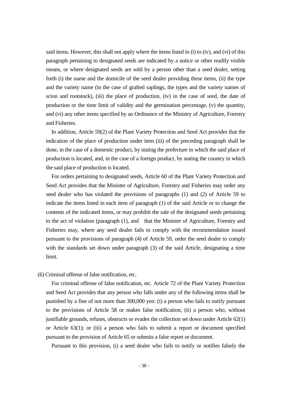said items. However, this shall not apply where the items listed in (i) to (iv), and (vi) of this paragraph pertaining to designated seeds are indicated by a notice or other readily visible means, or where designated seeds are sold by a person other than a seed dealer, setting forth (i) the name and the domicile of the seed dealer providing these items, (ii) the type and the variety name (in the case of grafted saplings, the types and the variety names of scion and rootstock), (iii) the place of production, (iv) in the case of seed, the date of production or the time limit of validity and the germination percentage, (v) the quantity, and (vi) any other items specified by an Ordinance of the Ministry of Agriculture, Forestry and Fisheries.

In addition, Article 59(2) of the Plant Variety Protection and Seed Act provides that the indication of the place of production under item (iii) of the preceding paragraph shall be done, in the case of a domestic product, by stating the prefecture in which the said place of production is located, and, in the case of a foreign product, by stating the country in which the said place of production is located.

For orders pertaining to designated seeds, Article 60 of the Plant Variety Protection and Seed Act provides that the Minister of Agriculture, Forestry and Fisheries may order any seed dealer who has violated the provisions of paragraphs (1) and (2) of Article 59 to indicate the items listed in each item of paragraph (1) of the said Article or to change the contents of the indicated items, or may prohibit the sale of the designated seeds pertaining to the act of violation (paragraph (1), and that the Minister of Agriculture, Forestry and Fisheries may, where any seed dealer fails to comply with the recommendation issued pursuant to the provisions of paragraph (4) of Article 59, order the seed dealer to comply with the standards set down under paragraph (3) of the said Article, designating a time limit.

(6) Criminal offense of false notification, etc.

For criminal offense of false notification, etc. Article 72 of the Plant Variety Protection and Seed Act provides that any person who falls under any of the following items shall be punished by a fine of not more than 300,000 yen: (i) a person who fails to notify pursuant to the provisions of Article 58 or makes false notification; (ii) a person who, without justifiable grounds, refuses, obstructs or evades the collection set down under Article 62(1) or Article 63(1); or (iii) a person who fails to submit a report or document specified pursuant to the provision of Article 65 or submits a false report or document.

Pursuant to this provision, (i) a seed dealer who fails to notify or notifies falsely the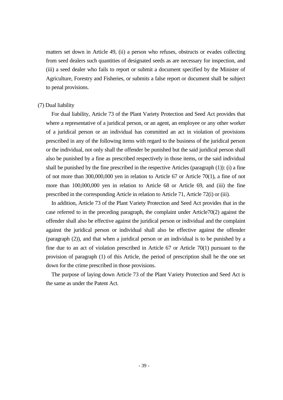matters set down in Article 49, (ii) a person who refuses, obstructs or evades collecting from seed dealers such quantities of designated seeds as are necessary for inspection, and (iii) a seed dealer who fails to report or submit a document specified by the Minister of Agriculture, Forestry and Fisheries, or submits a false report or document shall be subject to penal provisions.

#### (7) Dual liability

For dual liability, Article 73 of the Plant Variety Protection and Seed Act provides that where a representative of a juridical person, or an agent, an employee or any other worker of a juridical person or an individual has committed an act in violation of provisions prescribed in any of the following items with regard to the business of the juridical person or the individual, not only shall the offender be punished but the said juridical person shall also be punished by a fine as prescribed respectively in those items, or the said individual shall be punished by the fine prescribed in the respective Articles (paragraph (1)): (i) a fine of not more than 300,000,000 yen in relation to Article 67 or Article 70(1), a fine of not more than 100,000,000 yen in relation to Article 68 or Article 69, and (iii) the fine prescribed in the corresponding Article in relation to Article 71, Article 72(i) or (iii).

In addition, Article 73 of the Plant Variety Protection and Seed Act provides that in the case referred to in the preceding paragraph, the complaint under Article70(2) against the offender shall also be effective against the juridical person or individual and the complaint against the juridical person or individual shall also be effective against the offender (paragraph (2)), and that when a juridical person or an individual is to be punished by a fine due to an act of violation prescribed in Article 67 or Article 70(1) pursuant to the provision of paragraph (1) of this Article, the period of prescription shall be the one set down for the crime prescribed in those provisions.

The purpose of laying down Article 73 of the Plant Variety Protection and Seed Act is the same as under the Patent Act.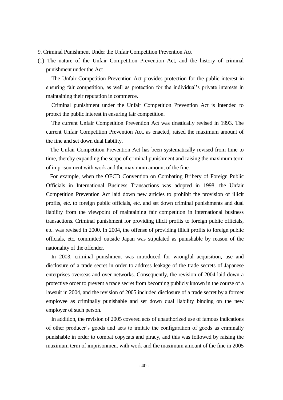- 9. Criminal Punishment Under the Unfair Competition Prevention Act
- (1) The nature of the Unfair Competition Prevention Act, and the history of criminal punishment under the Act

The Unfair Competition Prevention Act provides protection for the public interest in ensuring fair competition, as well as protection for the individual's private interests in maintaining their reputation in commerce.

Criminal punishment under the Unfair Competition Prevention Act is intended to protect the public interest in ensuring fair competition.

The current Unfair Competition Prevention Act was drastically revised in 1993. The current Unfair Competition Prevention Act, as enacted, raised the maximum amount of the fine and set down dual liability.

The Unfair Competition Prevention Act has been systematically revised from time to time, thereby expanding the scope of criminal punishment and raising the maximum term of imprisonment with work and the maximum amount of the fine.

For example, when the OECD Convention on Combating Bribery of Foreign Public Officials in International Business Transactions was adopted in 1998, the Unfair Competition Prevention Act laid down new articles to prohibit the provision of illicit profits, etc. to foreign public officials, etc. and set down criminal punishments and dual liability from the viewpoint of maintaining fair competition in international business transactions. Criminal punishment for providing illicit profits to foreign public officials, etc. was revised in 2000. In 2004, the offense of providing illicit profits to foreign public officials, etc. committed outside Japan was stipulated as punishable by reason of the nationality of the offender.

In 2003, criminal punishment was introduced for wrongful acquisition, use and disclosure of a trade secret in order to address leakage of the trade secrets of Japanese enterprises overseas and over networks. Consequently, the revision of 2004 laid down a protective order to prevent a trade secret from becoming publicly known in the course of a lawsuit in 2004, and the revision of 2005 included disclosure of a trade secret by a former employee as criminally punishable and set down dual liability binding on the new employer of such person.

In addition, the revision of 2005 covered acts of unauthorized use of famous indications of other producer's goods and acts to imitate the configuration of goods as criminally punishable in order to combat copycats and piracy, and this was followed by raising the maximum term of imprisonment with work and the maximum amount of the fine in 2005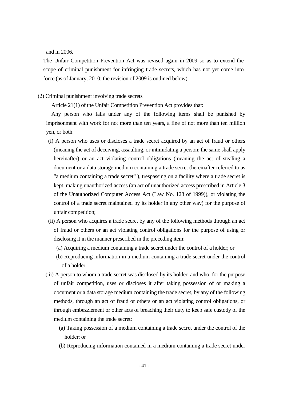and in 2006.

The Unfair Competition Prevention Act was revised again in 2009 so as to extend the scope of criminal punishment for infringing trade secrets, which has not yet come into force (as of January, 2010; the revision of 2009 is outlined below).

# (2) Criminal punishment involving trade secrets

Article 21(1) of the Unfair Competition Prevention Act provides that:

Any person who falls under any of the following items shall be punished by imprisonment with work for not more than ten years, a fine of not more than ten million yen, or both.

- (i) A person who uses or discloses a trade secret acquired by an act of fraud or others (meaning the act of deceiving, assaulting, or intimidating a person; the same shall apply hereinafter) or an act violating control obligations (meaning the act of stealing a document or a data storage medium containing a trade secret (hereinafter referred to as "a medium containing a trade secret" ), trespassing on a facility where a trade secret is kept, making unauthorized access (an act of unauthorized access prescribed in Article 3 of the Unauthorized Computer Access Act (Law No. 128 of 1999)), or violating the control of a trade secret maintained by its holder in any other way) for the purpose of unfair competition;
- (ii) A person who acquires a trade secret by any of the following methods through an act of fraud or others or an act violating control obligations for the purpose of using or disclosing it in the manner prescribed in the preceding item:
	- (a) Acquiring a medium containing a trade secret under the control of a holder; or
	- (b) Reproducing information in a medium containing a trade secret under the control of a holder
- (iii) A person to whom a trade secret was disclosed by its holder, and who, for the purpose of unfair competition, uses or discloses it after taking possession of or making a document or a data storage medium containing the trade secret, by any of the following methods, through an act of fraud or others or an act violating control obligations, or through embezzlement or other acts of breaching their duty to keep safe custody of the medium containing the trade secret:
	- (a) Taking possession of a medium containing a trade secret under the control of the holder; or
	- (b) Reproducing information contained in a medium containing a trade secret under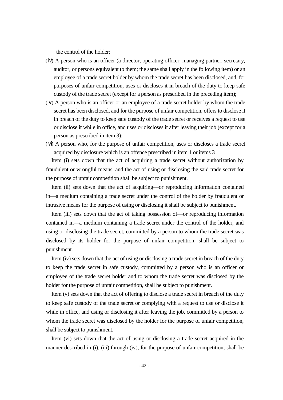the control of the holder;

- (ⅳ) A person who is an officer (a director, operating officer, managing partner, secretary, auditor, or persons equivalent to them; the same shall apply in the following item) or an employee of a trade secret holder by whom the trade secret has been disclosed, and, for purposes of unfair competition, uses or discloses it in breach of the duty to keep safe custody of the trade secret (except for a person as prescribed in the preceding item);
- (ⅴ) A person who is an officer or an employee of a trade secret holder by whom the trade secret has been disclosed, and for the purpose of unfair competition, offers to disclose it in breach of the duty to keep safe custody of the trade secret or receives a request to use or disclose it while in office, and uses or discloses it after leaving their job (except for a person as prescribed in item 3);
- (ⅵ) A person who, for the purpose of unfair competition, uses or discloses a trade secret acquired by disclosure which is an offence prescribed in item 1 or items 3

Item (i) sets down that the act of acquiring a trade secret without authorization by fraudulent or wrongful means, and the act of using or disclosing the said trade secret for the purpose of unfair competition shall be subject to punishment.

Item (ii) sets down that the act of acquiring—or reproducing information contained in—a medium containing a trade secret under the control of the holder by fraudulent or intrusive means for the purpose of using or disclosing it shall be subject to punishment.

Item (iii) sets down that the act of taking possession of—or reproducing information contained in—a medium containing a trade secret under the control of the holder, and using or disclosing the trade secret, committed by a person to whom the trade secret was disclosed by its holder for the purpose of unfair competition, shall be subject to punishment.

Item (iv) sets down that the act of using or disclosing a trade secret in breach of the duty to keep the trade secret in safe custody, committed by a person who is an officer or employee of the trade secret holder and to whom the trade secret was disclosed by the holder for the purpose of unfair competition, shall be subject to punishment.

Item (v) sets down that the act of offering to disclose a trade secret in breach of the duty to keep safe custody of the trade secret or complying with a request to use or disclose it while in office, and using or disclosing it after leaving the job, committed by a person to whom the trade secret was disclosed by the holder for the purpose of unfair competition, shall be subject to punishment.

Item (vi) sets down that the act of using or disclosing a trade secret acquired in the manner described in (i), (iii) through (iv), for the purpose of unfair competition, shall be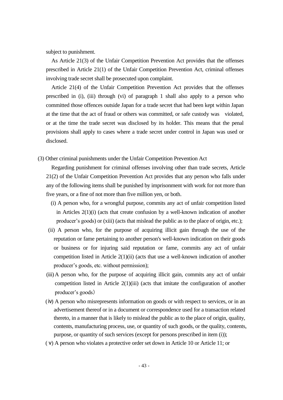subject to punishment.

As Article 21(3) of the Unfair Competition Prevention Act provides that the offenses prescribed in Article 21(1) of the Unfair Competition Prevention Act, criminal offenses involving trade secret shall be prosecuted upon complaint.

Article 21(4) of the Unfair Competition Prevention Act provides that the offenses prescribed in (i), (iii) through (vi) of paragraph 1 shall also apply to a person who committed those offences outside Japan for a trade secret that had been kept within Japan at the time that the act of fraud or others was committed, or safe custody was violated, or at the time the trade secret was disclosed by its holder. This means that the penal provisions shall apply to cases where a trade secret under control in Japan was used or disclosed.

(3) Other criminal punishments under the Unfair Competition Prevention Act

Regarding punishment for criminal offenses involving other than trade secrets, Article 21(2) of the Unfair Competition Prevention Act provides that any person who falls under any of the following items shall be punished by imprisonment with work for not more than five years, or a fine of not more than five million yen, or both.

- (i) A person who, for a wrongful purpose, commits any act of unfair competition listed in Articles 2(1)(i) (acts that create confusion by a well-known indication of another producer's goods) or (xiii) (acts that mislead the public as to the place of origin, etc.);
- (ii) A person who, for the purpose of acquiring illicit gain through the use of the reputation or fame pertaining to another person's well-known indication on their goods or business or for injuring said reputation or fame, commits any act of unfair competition listed in Article 2(1)(ii) (acts that use a well-known indication of another producer's goods, etc. without permission);
- (iii)A person who, for the purpose of acquiring illicit gain, commits any act of unfair competition listed in Article  $2(1)(iii)$  (acts that imitate the configuration of another producer's goods)
- (ⅳ) A person who misrepresents information on goods or with respect to services, or in an advertisement thereof or in a document or correspondence used for a transaction related thereto, in a manner that is likely to mislead the public as to the place of origin, quality, contents, manufacturing process, use, or quantity of such goods, or the quality, contents, purpose, or quantity of such services (except for persons prescribed in item (i));
- (ⅴ) A person who violates a protective order set down in Article 10 or Article 11; or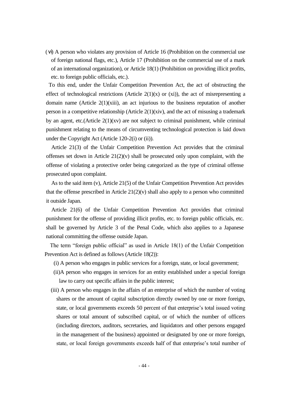(ⅵ) A person who violates any provision of Article 16 (Prohibition on the commercial use of foreign national flags, etc.), Article 17 (Prohibition on the commercial use of a mark of an international organization), or Article 18(1) (Prohibition on providing illicit profits, etc. to foreign public officials, etc.).

To this end, under the Unfair Competition Prevention Act, the act of obstructing the effect of technological restrictions (Article  $2(1)(x)$  or (xi)), the act of misrepresenting a domain name (Article 2(1)(xiii), an act injurious to the business reputation of another person in a competitive relationship (Article  $2(1)(xiv)$ , and the act of misusing a trademark by an agent, etc.(Article 2(1)(xv) are not subject to criminal punishment, while criminal punishment relating to the means of circumventing technological protection is laid down under the Copyright Act (Article 120-2(i) or (ii)).

Article 21(3) of the Unfair Competition Prevention Act provides that the criminal offenses set down in Article  $21(2)(v)$  shall be prosecuted only upon complaint, with the offense of violating a protective order being categorized as the type of criminal offense prosecuted upon complaint.

As to the said item (v), Article 21(5) of the Unfair Competition Prevention Act provides that the offense prescribed in Article  $21(2)(v)$  shall also apply to a person who committed it outside Japan.

Article 21(6) of the Unfair Competition Prevention Act provides that criminal punishment for the offense of providing illicit profits, etc. to foreign public officials, etc. shall be governed by Article 3 of the Penal Code, which also applies to a Japanese national committing the offense outside Japan.

The term "foreign public official" as used in Article 18(1) of the Unfair Competition Prevention Act is defined as follows (Article 18(2)):

- (i) A person who engages in public services for a foreign, state, or local government;
- (ii)A person who engages in services for an entity established under a special foreign law to carry out specific affairs in the public interest;
- (iii) A person who engages in the affairs of an enterprise of which the number of voting shares or the amount of capital subscription directly owned by one or more foreign, state, or local governments exceeds 50 percent of that enterprise's total issued voting shares or total amount of subscribed capital, or of which the number of officers (including directors, auditors, secretaries, and liquidators and other persons engaged in the management of the business) appointed or designated by one or more foreign, state, or local foreign governments exceeds half of that enterprise's total number of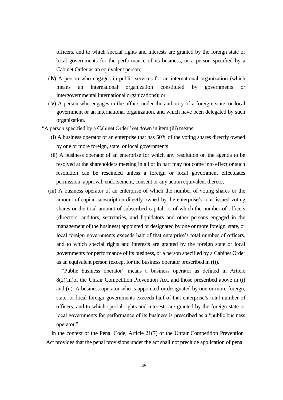officers, and to which special rights and interests are granted by the foreign state or local governments for the performance of its business, or a person specified by a Cabinet Order as an equivalent person;

- (ⅳ) A person who engages in public services for an international organization (which means an international organization constituted by governments or intergovernmental international organizations); or
- (ⅴ) A person who engages in the affairs under the authority of a foreign, state, or local government or an international organization, and which have been delegated by such organization.
- "A person specified by a Cabinet Order" set down in item (iii) means:
	- (i) A business operator of an enterprise that has 50% of the voting shares directly owned by one or more foreign, state, or local governments
	- (ii) A business operator of an enterprise for which any resolution on the agenda to be resolved at the shareholders meeting in all or in part may not come into effect or such resolution can be rescinded unless a foreign or local government effectuates permission, approval, endorsement, consent or any action equivalent thereto;
	- (iii) A business operator of an enterprise of which the number of voting shares or the amount of capital subscription directly owned by the enterprise's total issued voting shares or the total amount of subscribed capital, or of which the number of officers (directors, auditors, secretaries, and liquidators and other persons engaged in the management of the business) appointed or designated by one or more foreign, state, or local foreign governments exceeds half of that enterprise's total number of officers, and to which special rights and interests are granted by the foreign state or local governments for performance of its business, or a person specified by a Cabinet Order as an equivalent person (except for the business operator prescribed in (i)).

 "Public business operator" means a business operator as defined in Article 8(2)(iii)of the Unfair Competition Prevention Act, and those prescribed above in (i) and (ii). A business operator who is appointed or designated by one or more foreign, state, or local foreign governments exceeds half of that enterprise's total number of officers, and to which special rights and interests are granted by the foreign state or local governments for performance of its business is prescribed as a "public business operator."

In the context of the Penal Code, Article 21(7) of the Unfair Competition Prevention Act provides that the penal provisions under the act shall not preclude application of penal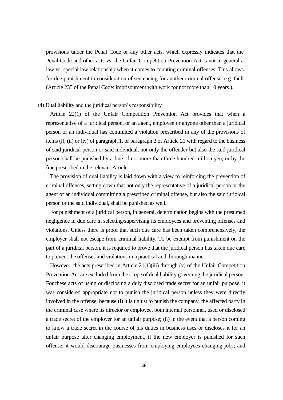provisions under the Penal Code or any other acts, which expressly indicates that the Penal Code and other acts vs. the Unfair Competition Prevention Act is not in general a law vs. special law relationship when it comes to counting criminal offenses. This allows for due punishment in consideration of sentencing for another criminal offense, e.g. theft (Article 235 of the Penal Code: imprisonment with work for not more than 10 years ).

#### (4) Dual liability and the juridical person's responsibility

Article 22(1) of the Unfair Competition Prevention Act provides that when a representative of a juridical person, or an agent, employee or anyone other than a juridical person or an individual has committed a violation prescribed in any of the provisions of items (i), (ii) or (iv) of paragraph 1, or paragraph 2 of Article 21 with regard to the business of said juridical person or said individual, not only the offender but also the said juridical person shall be punished by a fine of not more than three hundred million yen, or by the fine prescribed in the relevant Article.

The provision of dual liability is laid down with a view to reinforcing the prevention of criminal offenses, setting down that not only the representative of a juridical person or the agent of an individual committing a prescribed criminal offense, but also the said juridical person or the said individual, shall be punished as well.

For punishment of a juridical person, in general, determination begins with the presumed negligence in due care in selecting/supervising its employees and preventing offenses and violations. Unless there is proof that such due care has been taken comprehensively, the employer shall not escape from criminal liability. To be exempt from punishment on the part of a juridical person, it is required to prove that the juridical person has taken due care to prevent the offenses and violations in a practical and thorough manner.

However, the acts prescribed in Article  $21(1)(iii)$  through (v) of the Unfair Competition Prevention Act are excluded from the scope of dual liability governing the juridical person. For these acts of using or disclosing a duly disclosed trade secret for an unfair purpose, it was considered appropriate not to punish the juridical person unless they were directly involved in the offense, because (i) it is unjust to punish the company, the affected party in the criminal case where its director or employee, both internal personnel, used or disclosed a trade secret of the employer for an unfair purpose; (ii) in the event that a person coming to know a trade secret in the course of his duties in business uses or discloses it for an unfair purpose after changing employment, if the new employer is punished for such offense, it would discourage businesses from employing employees changing jobs; and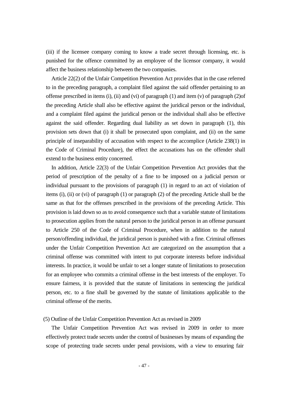(iii) if the licensee company coming to know a trade secret through licensing, etc. is punished for the offence committed by an employee of the licensor company, it would affect the business relationship between the two companies.

Article 22(2) of the Unfair Competition Prevention Act provides that in the case referred to in the preceding paragraph, a complaint filed against the said offender pertaining to an offense prescribed in items (i), (ii) and (vi) of paragraph (1) and item (v) of paragraph (2)of the preceding Article shall also be effective against the juridical person or the individual, and a complaint filed against the juridical person or the individual shall also be effective against the said offender. Regarding dual liability as set down in paragraph (1), this provision sets down that (i) it shall be prosecuted upon complaint, and (ii) on the same principle of inseparability of accusation with respect to the accomplice (Article 238(1) in the Code of Criminal Procedure), the effect the accusations has on the offender shall extend to the business entity concerned.

In addition, Article 22(3) of the Unfair Competition Prevention Act provides that the period of prescription of the penalty of a fine to be imposed on a judicial person or individual pursuant to the provisions of paragraph (1) in regard to an act of violation of items (i), (ii) or (vi) of paragraph (1) or paragraph (2) of the preceding Article shall be the same as that for the offenses prescribed in the provisions of the preceding Article. This provision is laid down so as to avoid consequence such that a variable statute of limitations to prosecution applies from the natural person to the juridical person in an offense pursuant to Article 250 of the Code of Criminal Procedure, when in addition to the natural person/offending individual, the juridical person is punished with a fine. Criminal offenses under the Unfair Competition Prevention Act are categorized on the assumption that a criminal offense was committed with intent to put corporate interests before individual interests. In practice, it would be unfair to set a longer statute of limitations to prosecution for an employee who commits a criminal offense in the best interests of the employer. To ensure fairness, it is provided that the statute of limitations in sentencing the juridical person, etc. to a fine shall be governed by the statute of limitations applicable to the criminal offense of the merits.

#### (5) Outline of the Unfair Competition Prevention Act as revised in 2009

The Unfair Competition Prevention Act was revised in 2009 in order to more effectively protect trade secrets under the control of businesses by means of expanding the scope of protecting trade secrets under penal provisions, with a view to ensuring fair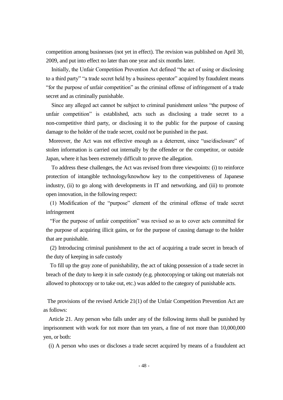competition among businesses (not yet in effect). The revision was published on April 30, 2009, and put into effect no later than one year and six months later.

Initially, the Unfair Competition Prevention Act defined "the act of using or disclosing to a third party" "a trade secret held by a business operator" acquired by fraudulent means "for the purpose of unfair competition" as the criminal offense of infringement of a trade secret and as criminally punishable.

Since any alleged act cannot be subject to criminal punishment unless "the purpose of unfair competition" is established, acts such as disclosing a trade secret to a non-competitive third party, or disclosing it to the public for the purpose of causing damage to the holder of the trade secret, could not be punished in the past.

Moreover, the Act was not effective enough as a deterrent, since "use/disclosure" of stolen information is carried out internally by the offender or the competitor, or outside Japan, where it has been extremely difficult to prove the allegation.

To address these challenges, the Act was revised from three viewpoints: (i) to reinforce protection of intangible technology/knowhow key to the competitiveness of Japanese industry, (ii) to go along with developments in IT and networking, and (iii) to promote open innovation, in the following respect:

(1) Modification of the "purpose" element of the criminal offense of trade secret infringement

"For the purpose of unfair competition" was revised so as to cover acts committed for the purpose of acquiring illicit gains, or for the purpose of causing damage to the holder that are punishable.

(2) Introducing criminal punishment to the act of acquiring a trade secret in breach of the duty of keeping in safe custody

To fill up the gray zone of punishability, the act of taking possession of a trade secret in breach of the duty to keep it in safe custody (e.g. photocopying or taking out materials not allowed to photocopy or to take out, etc.) was added to the category of punishable acts.

The provisions of the revised Article 21(1) of the Unfair Competition Prevention Act are as follows:

Article 21. Any person who falls under any of the following items shall be punished by imprisonment with work for not more than ten years, a fine of not more than 10,000,000 yen, or both:

(i) A person who uses or discloses a trade secret acquired by means of a fraudulent act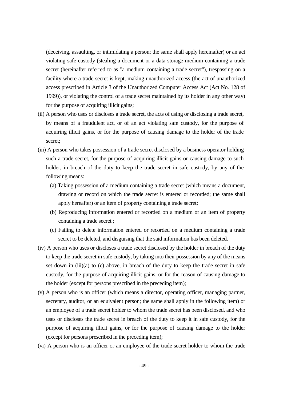(deceiving, assaulting, or intimidating a person; the same shall apply hereinafter) or an act violating safe custody (stealing a document or a data storage medium containing a trade secret (hereinafter referred to as "a medium containing a trade secret"), trespassing on a facility where a trade secret is kept, making unauthorized access (the act of unauthorized access prescribed in Article 3 of the Unauthorized Computer Access Act (Act No. 128 of 1999)), or violating the control of a trade secret maintained by its holder in any other way) for the purpose of acquiring illicit gains;

- (ii) A person who uses or discloses a trade secret, the acts of using or disclosing a trade secret, by means of a fraudulent act, or of an act violating safe custody, for the purpose of acquiring illicit gains, or for the purpose of causing damage to the holder of the trade secret;
- (iii) A person who takes possession of a trade secret disclosed by a business operator holding such a trade secret, for the purpose of acquiring illicit gains or causing damage to such holder, in breach of the duty to keep the trade secret in safe custody, by any of the following means:
	- (a) Taking possession of a medium containing a trade secret (which means a document, drawing or record on which the trade secret is entered or recorded; the same shall apply hereafter) or an item of property containing a trade secret;
	- (b) Reproducing information entered or recorded on a medium or an item of property containing a trade secret ;
	- (c) Failing to delete information entered or recorded on a medium containing a trade secret to be deleted, and disguising that the said information has been deleted.
- (iv) A person who uses or discloses a trade secret disclosed by the holder in breach of the duty to keep the trade secret in safe custody, by taking into their possession by any of the means set down in  $(iii)(a)$  to  $(c)$  above, in breach of the duty to keep the trade secret in safe custody, for the purpose of acquiring illicit gains, or for the reason of causing damage to the holder (except for persons prescribed in the preceding item);
- (v) A person who is an officer (which means a director, operating officer, managing partner, secretary, auditor, or an equivalent person; the same shall apply in the following item) or an employee of a trade secret holder to whom the trade secret has been disclosed, and who uses or discloses the trade secret in breach of the duty to keep it in safe custody, for the purpose of acquiring illicit gains, or for the purpose of causing damage to the holder (except for persons prescribed in the preceding item);
- (vi) A person who is an officer or an employee of the trade secret holder to whom the trade